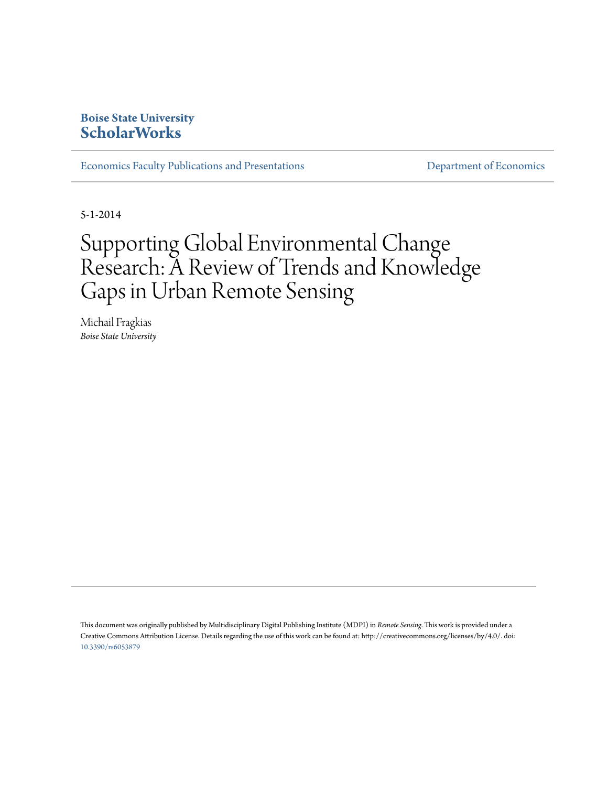### **Boise State University [ScholarWorks](https://scholarworks.boisestate.edu)**

[Economics Faculty Publications and Presentations](https://scholarworks.boisestate.edu/econ_facpubs) and [Department of Economics](https://scholarworks.boisestate.edu/econ)

5-1-2014

# Supporting Global Environmental Change Research: A Review of Trends and Knowledge Gaps in Urban Remote Sensing

Michail Fragkias *Boise State University*

This document was originally published by Multidisciplinary Digital Publishing Institute (MDPI) in *Remote Sensing*. This work is provided under a Creative Commons Attribution License. Details regarding the use of this work can be found at: http://creativecommons.org/licenses/by/4.0/. doi: [10.3390/rs6053879](http://dx.doi.org/10.3390/rs6053879)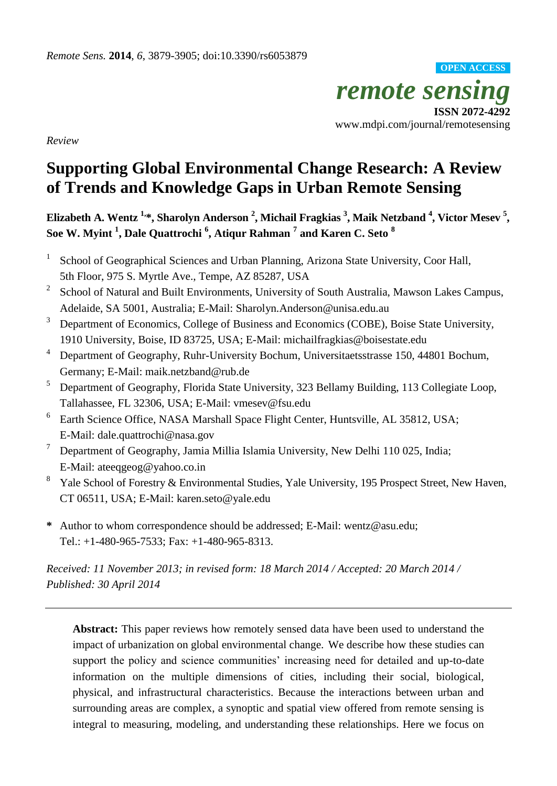*remote sensing* **ISSN 2072-4292** www.mdpi.com/journal/remotesensing **OPEN ACCESS**

*Review*

## **Supporting Global Environmental Change Research: A Review of Trends and Knowledge Gaps in Urban Remote Sensing**

**Elizabeth A. Wentz 1, \*, Sharolyn Anderson <sup>2</sup> , Michail Fragkias <sup>3</sup> , Maik Netzband <sup>4</sup> , Victor Mesev <sup>5</sup> , Soe W. Myint <sup>1</sup> , Dale Quattrochi <sup>6</sup> , Atiqur Rahman <sup>7</sup> and Karen C. Seto <sup>8</sup>**

- 1 School of Geographical Sciences and Urban Planning, Arizona State University, Coor Hall, 5th Floor, 975 S. Myrtle Ave., Tempe, AZ 85287, USA
- 2 School of Natural and Built Environments, University of South Australia, Mawson Lakes Campus, Adelaide, SA 5001, Australia; E-Mail: Sharolyn.Anderson@unisa.edu.au
- $3$  Department of Economics, College of Business and Economics (COBE), Boise State University, 1910 University, Boise, ID 83725, USA; E-Mail: michailfragkias@boisestate.edu
- <sup>4</sup> Department of Geography, Ruhr-University Bochum, Universitaetsstrasse 150, 44801 Bochum, Germany; E-Mail: maik.netzband@rub.de
- <sup>5</sup> Department of Geography, Florida State University, 323 Bellamy Building, 113 Collegiate Loop, Tallahassee, FL 32306, USA; E-Mail: vmesev@fsu.edu
- 6 Earth Science Office, NASA Marshall Space Flight Center, Huntsville, AL 35812, USA; E-Mail: dale.quattrochi@nasa.gov
- <sup>7</sup> Department of Geography, Jamia Millia Islamia University, New Delhi 110 025, India; E-Mail: ateeqgeog@yahoo.co.in
- <sup>8</sup> Yale School of Forestry & Environmental Studies, Yale University, 195 Prospect Street, New Haven, CT 06511, USA; E-Mail: karen.seto@yale.edu
- **\*** Author to whom correspondence should be addressed; E-Mail: wentz@asu.edu; Tel.: +1-480-965-7533; Fax: +1-480-965-8313.

*Received: 11 November 2013; in revised form: 18 March 2014 / Accepted: 20 March 2014 / Published: 30 April 2014*

**Abstract:** This paper reviews how remotely sensed data have been used to understand the impact of urbanization on global environmental change. We describe how these studies can support the policy and science communities' increasing need for detailed and up-to-date information on the multiple dimensions of cities, including their social, biological, physical, and infrastructural characteristics. Because the interactions between urban and surrounding areas are complex, a synoptic and spatial view offered from remote sensing is integral to measuring, modeling, and understanding these relationships. Here we focus on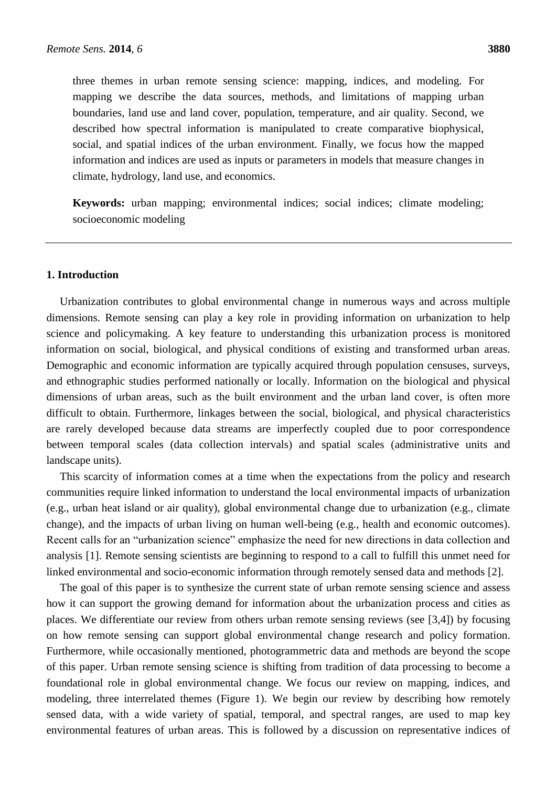three themes in urban remote sensing science: mapping, indices, and modeling. For mapping we describe the data sources, methods, and limitations of mapping urban boundaries, land use and land cover, population, temperature, and air quality. Second, we described how spectral information is manipulated to create comparative biophysical, social, and spatial indices of the urban environment. Finally, we focus how the mapped information and indices are used as inputs or parameters in models that measure changes in climate, hydrology, land use, and economics.

**Keywords:** urban mapping; environmental indices; social indices; climate modeling; socioeconomic modeling

#### **1. Introduction**

Urbanization contributes to global environmental change in numerous ways and across multiple dimensions. Remote sensing can play a key role in providing information on urbanization to help science and policymaking. A key feature to understanding this urbanization process is monitored information on social, biological, and physical conditions of existing and transformed urban areas. Demographic and economic information are typically acquired through population censuses, surveys, and ethnographic studies performed nationally or locally. Information on the biological and physical dimensions of urban areas, such as the built environment and the urban land cover, is often more difficult to obtain. Furthermore, linkages between the social, biological, and physical characteristics are rarely developed because data streams are imperfectly coupled due to poor correspondence between temporal scales (data collection intervals) and spatial scales (administrative units and landscape units).

This scarcity of information comes at a time when the expectations from the policy and research communities require linked information to understand the local environmental impacts of urbanization (e.g., urban heat island or air quality), global environmental change due to urbanization (e.g., climate change), and the impacts of urban living on human well-being (e.g., health and economic outcomes). Recent calls for an "urbanization science" emphasize the need for new directions in data collection and analysis [1]. Remote sensing scientists are beginning to respond to a call to fulfill this unmet need for linked environmental and socio-economic information through remotely sensed data and methods [2].

The goal of this paper is to synthesize the current state of urban remote sensing science and assess how it can support the growing demand for information about the urbanization process and cities as places. We differentiate our review from others urban remote sensing reviews (see [3,4]) by focusing on how remote sensing can support global environmental change research and policy formation. Furthermore, while occasionally mentioned, photogrammetric data and methods are beyond the scope of this paper. Urban remote sensing science is shifting from tradition of data processing to become a foundational role in global environmental change. We focus our review on mapping, indices, and modeling, three interrelated themes (Figure 1). We begin our review by describing how remotely sensed data, with a wide variety of spatial, temporal, and spectral ranges, are used to map key environmental features of urban areas. This is followed by a discussion on representative indices of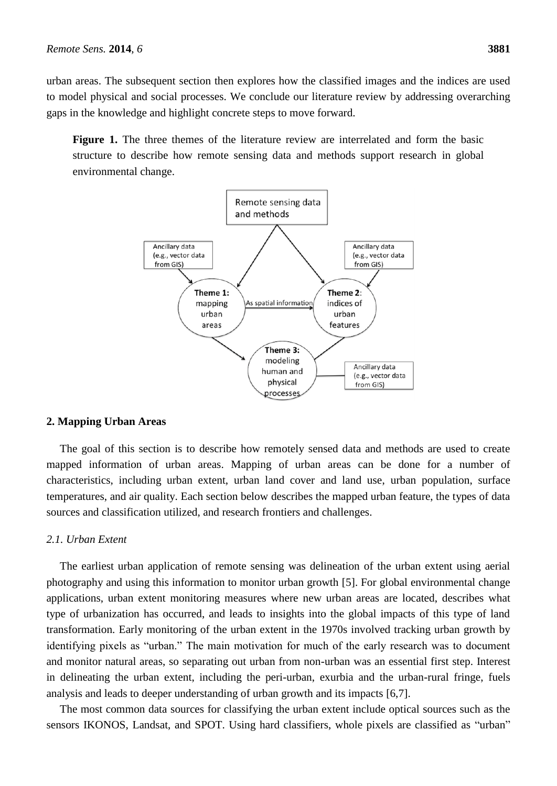urban areas. The subsequent section then explores how the classified images and the indices are used to model physical and social processes. We conclude our literature review by addressing overarching gaps in the knowledge and highlight concrete steps to move forward.

**Figure 1.** The three themes of the literature review are interrelated and form the basic structure to describe how remote sensing data and methods support research in global environmental change.



#### **2. Mapping Urban Areas**

The goal of this section is to describe how remotely sensed data and methods are used to create mapped information of urban areas. Mapping of urban areas can be done for a number of characteristics, including urban extent, urban land cover and land use, urban population, surface temperatures, and air quality. Each section below describes the mapped urban feature, the types of data sources and classification utilized, and research frontiers and challenges.

#### *2.1. Urban Extent*

The earliest urban application of remote sensing was delineation of the urban extent using aerial photography and using this information to monitor urban growth [5]. For global environmental change applications, urban extent monitoring measures where new urban areas are located, describes what type of urbanization has occurred, and leads to insights into the global impacts of this type of land transformation. Early monitoring of the urban extent in the 1970s involved tracking urban growth by identifying pixels as "urban." The main motivation for much of the early research was to document and monitor natural areas, so separating out urban from non-urban was an essential first step. Interest in delineating the urban extent, including the peri-urban, exurbia and the urban-rural fringe, fuels analysis and leads to deeper understanding of urban growth and its impacts [6,7].

The most common data sources for classifying the urban extent include optical sources such as the sensors IKONOS, Landsat, and SPOT. Using hard classifiers, whole pixels are classified as "urban"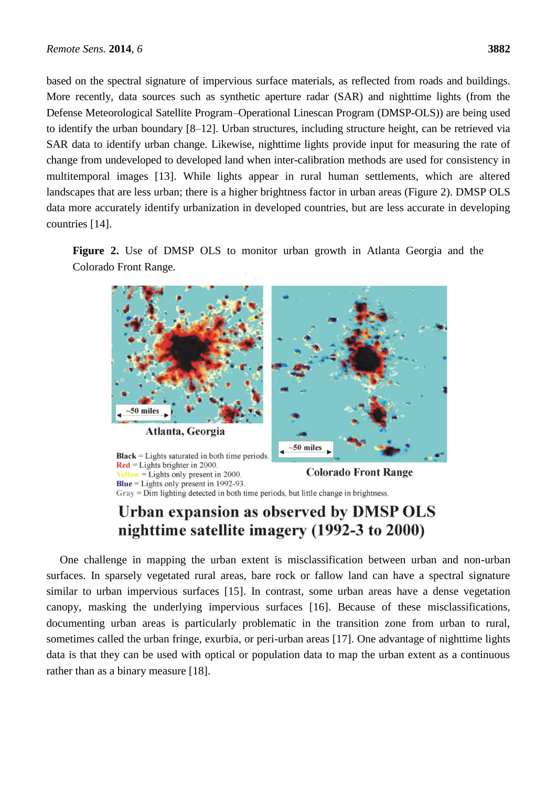based on the spectral signature of impervious surface materials, as reflected from roads and buildings. More recently, data sources such as synthetic aperture radar (SAR) and nighttime lights (from the Defense Meteorological Satellite Program–Operational Linescan Program (DMSP-OLS)) are being used to identify the urban boundary [8–12]. Urban structures, including structure height, can be retrieved via SAR data to identify urban change. Likewise, nighttime lights provide input for measuring the rate of change from undeveloped to developed land when inter-calibration methods are used for consistency in multitemporal images [13]. While lights appear in rural human settlements, which are altered landscapes that are less urban; there is a higher brightness factor in urban areas (Figure 2). DMSP OLS data more accurately identify urbanization in developed countries, but are less accurate in developing countries [14].

**Figure 2.** Use of DMSP OLS to monitor urban growth in Atlanta Georgia and the Colorado Front Range.



Gray = Dim lighting detected in both time periods, but little change in brightness.

### Urban expansion as observed by DMSP OLS nighttime satellite imagery (1992-3 to 2000)

One challenge in mapping the urban extent is misclassification between urban and non-urban surfaces. In sparsely vegetated rural areas, bare rock or fallow land can have a spectral signature similar to urban impervious surfaces [15]. In contrast, some urban areas have a dense vegetation canopy, masking the underlying impervious surfaces [16]. Because of these misclassifications, documenting urban areas is particularly problematic in the transition zone from urban to rural, sometimes called the urban fringe, exurbia, or peri-urban areas [17]. One advantage of nighttime lights data is that they can be used with optical or population data to map the urban extent as a continuous rather than as a binary measure [18].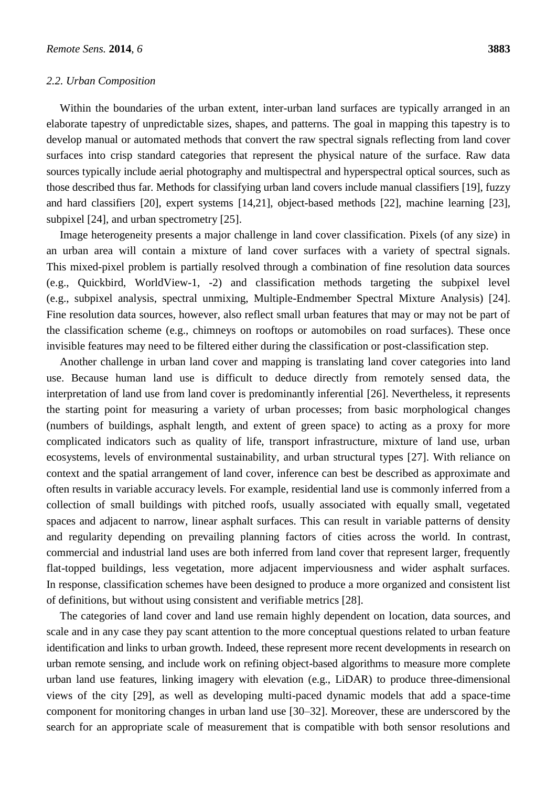#### *2.2. Urban Composition*

Within the boundaries of the urban extent, inter-urban land surfaces are typically arranged in an elaborate tapestry of unpredictable sizes, shapes, and patterns. The goal in mapping this tapestry is to develop manual or automated methods that convert the raw spectral signals reflecting from land cover surfaces into crisp standard categories that represent the physical nature of the surface. Raw data sources typically include aerial photography and multispectral and hyperspectral optical sources, such as those described thus far. Methods for classifying urban land covers include manual classifiers [19], fuzzy and hard classifiers [20], expert systems [14,21], object-based methods [22], machine learning [23], subpixel [24], and urban spectrometry [25].

Image heterogeneity presents a major challenge in land cover classification. Pixels (of any size) in an urban area will contain a mixture of land cover surfaces with a variety of spectral signals. This mixed-pixel problem is partially resolved through a combination of fine resolution data sources (e.g., Quickbird, WorldView-1, -2) and classification methods targeting the subpixel level (e.g., subpixel analysis, spectral unmixing, Multiple-Endmember Spectral Mixture Analysis) [24]. Fine resolution data sources, however, also reflect small urban features that may or may not be part of the classification scheme (e.g., chimneys on rooftops or automobiles on road surfaces). These once invisible features may need to be filtered either during the classification or post-classification step.

Another challenge in urban land cover and mapping is translating land cover categories into land use. Because human land use is difficult to deduce directly from remotely sensed data, the interpretation of land use from land cover is predominantly inferential [26]. Nevertheless, it represents the starting point for measuring a variety of urban processes; from basic morphological changes (numbers of buildings, asphalt length, and extent of green space) to acting as a proxy for more complicated indicators such as quality of life, transport infrastructure, mixture of land use, urban ecosystems, levels of environmental sustainability, and urban structural types [27]. With reliance on context and the spatial arrangement of land cover, inference can best be described as approximate and often results in variable accuracy levels. For example, residential land use is commonly inferred from a collection of small buildings with pitched roofs, usually associated with equally small, vegetated spaces and adjacent to narrow, linear asphalt surfaces. This can result in variable patterns of density and regularity depending on prevailing planning factors of cities across the world. In contrast, commercial and industrial land uses are both inferred from land cover that represent larger, frequently flat-topped buildings, less vegetation, more adjacent imperviousness and wider asphalt surfaces. In response, classification schemes have been designed to produce a more organized and consistent list of definitions, but without using consistent and verifiable metrics [28].

The categories of land cover and land use remain highly dependent on location, data sources, and scale and in any case they pay scant attention to the more conceptual questions related to urban feature identification and links to urban growth. Indeed, these represent more recent developments in research on urban remote sensing, and include work on refining object-based algorithms to measure more complete urban land use features, linking imagery with elevation (e.g., LiDAR) to produce three-dimensional views of the city [29], as well as developing multi-paced dynamic models that add a space-time component for monitoring changes in urban land use [30–32]. Moreover, these are underscored by the search for an appropriate scale of measurement that is compatible with both sensor resolutions and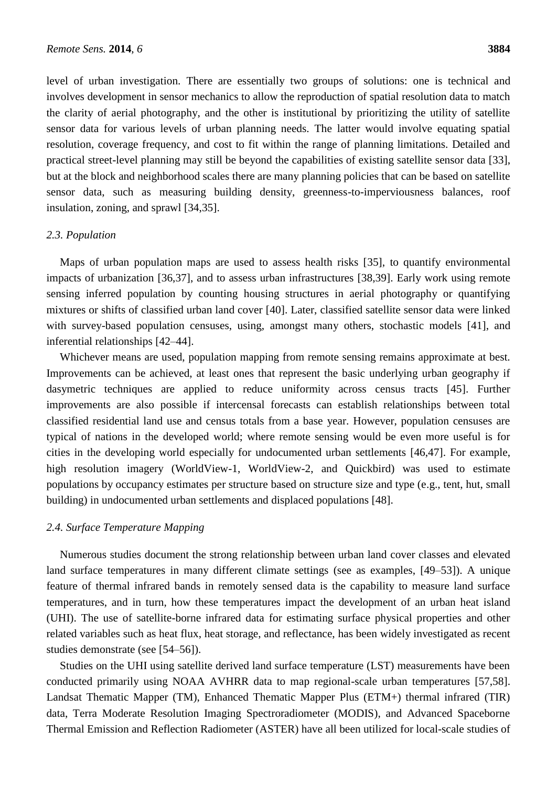level of urban investigation. There are essentially two groups of solutions: one is technical and involves development in sensor mechanics to allow the reproduction of spatial resolution data to match the clarity of aerial photography, and the other is institutional by prioritizing the utility of satellite sensor data for various levels of urban planning needs. The latter would involve equating spatial resolution, coverage frequency, and cost to fit within the range of planning limitations. Detailed and practical street-level planning may still be beyond the capabilities of existing satellite sensor data [33], but at the block and neighborhood scales there are many planning policies that can be based on satellite sensor data, such as measuring building density, greenness-to-imperviousness balances, roof insulation, zoning, and sprawl [34,35].

#### *2.3. Population*

Maps of urban population maps are used to assess health risks [35], to quantify environmental impacts of urbanization [36,37], and to assess urban infrastructures [38,39]. Early work using remote sensing inferred population by counting housing structures in aerial photography or quantifying mixtures or shifts of classified urban land cover [40]. Later, classified satellite sensor data were linked with survey-based population censuses, using, amongst many others, stochastic models [41], and inferential relationships [42–44].

Whichever means are used, population mapping from remote sensing remains approximate at best. Improvements can be achieved, at least ones that represent the basic underlying urban geography if dasymetric techniques are applied to reduce uniformity across census tracts [45]. Further improvements are also possible if intercensal forecasts can establish relationships between total classified residential land use and census totals from a base year. However, population censuses are typical of nations in the developed world; where remote sensing would be even more useful is for cities in the developing world especially for undocumented urban settlements [46,47]. For example, high resolution imagery (WorldView-1, WorldView-2, and Quickbird) was used to estimate populations by occupancy estimates per structure based on structure size and type (e.g., tent, hut, small building) in undocumented urban settlements and displaced populations [48].

#### *2.4. Surface Temperature Mapping*

Numerous studies document the strong relationship between urban land cover classes and elevated land surface temperatures in many different climate settings (see as examples, [49–53]). A unique feature of thermal infrared bands in remotely sensed data is the capability to measure land surface temperatures, and in turn, how these temperatures impact the development of an urban heat island (UHI). The use of satellite-borne infrared data for estimating surface physical properties and other related variables such as heat flux, heat storage, and reflectance, has been widely investigated as recent studies demonstrate (see [54–56]).

Studies on the UHI using satellite derived land surface temperature (LST) measurements have been conducted primarily using NOAA AVHRR data to map regional-scale urban temperatures [57,58]. Landsat Thematic Mapper (TM), Enhanced Thematic Mapper Plus (ETM+) thermal infrared (TIR) data, Terra Moderate Resolution Imaging Spectroradiometer (MODIS), and Advanced Spaceborne Thermal Emission and Reflection Radiometer (ASTER) have all been utilized for local-scale studies of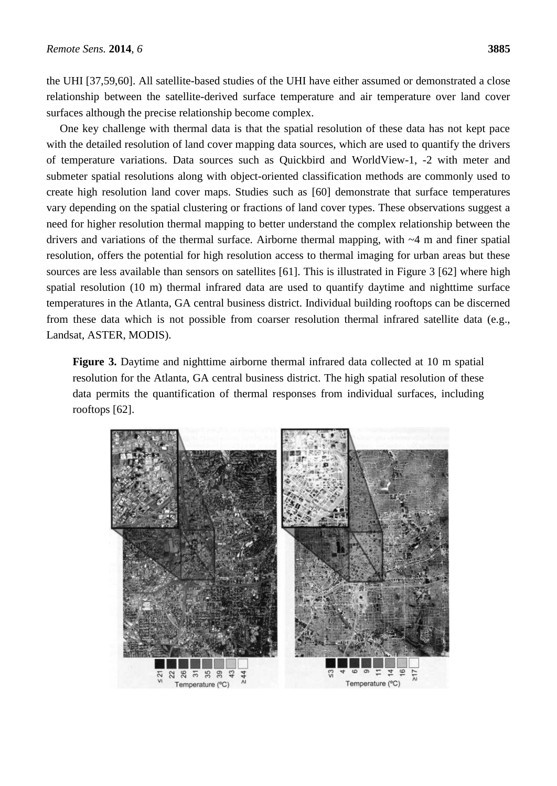the UHI [37,59,60]. All satellite-based studies of the UHI have either assumed or demonstrated a close relationship between the satellite-derived surface temperature and air temperature over land cover surfaces although the precise relationship become complex.

One key challenge with thermal data is that the spatial resolution of these data has not kept pace with the detailed resolution of land cover mapping data sources, which are used to quantify the drivers of temperature variations. Data sources such as Quickbird and WorldView-1, -2 with meter and submeter spatial resolutions along with object-oriented classification methods are commonly used to create high resolution land cover maps. Studies such as [60] demonstrate that surface temperatures vary depending on the spatial clustering or fractions of land cover types. These observations suggest a need for higher resolution thermal mapping to better understand the complex relationship between the drivers and variations of the thermal surface. Airborne thermal mapping, with ~4 m and finer spatial resolution, offers the potential for high resolution access to thermal imaging for urban areas but these sources are less available than sensors on satellites [61]. This is illustrated in Figure 3 [62] where high spatial resolution (10 m) thermal infrared data are used to quantify daytime and nighttime surface temperatures in the Atlanta, GA central business district. Individual building rooftops can be discerned from these data which is not possible from coarser resolution thermal infrared satellite data (e.g., Landsat, ASTER, MODIS).

**Figure 3.** Daytime and nighttime airborne thermal infrared data collected at 10 m spatial resolution for the Atlanta, GA central business district. The high spatial resolution of these data permits the quantification of thermal responses from individual surfaces, including rooftops [62].

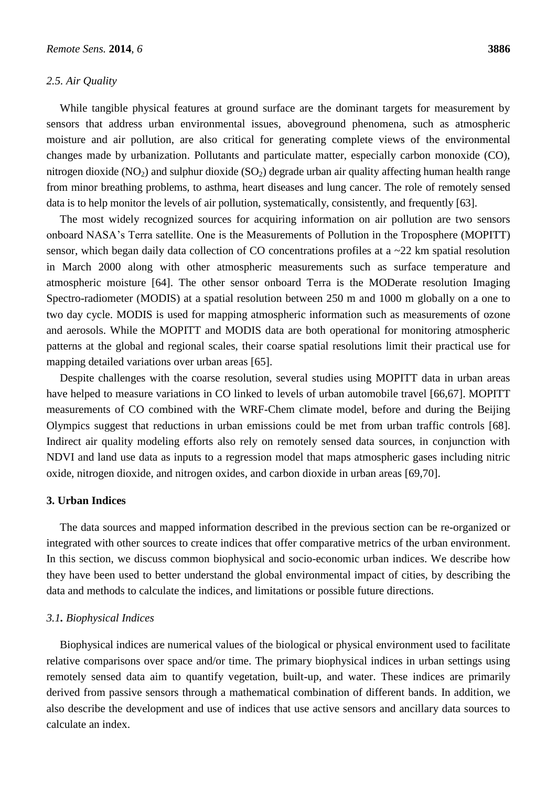#### *2.5. Air Quality*

While tangible physical features at ground surface are the dominant targets for measurement by sensors that address urban environmental issues, aboveground phenomena, such as atmospheric moisture and air pollution, are also critical for generating complete views of the environmental changes made by urbanization. Pollutants and particulate matter, especially carbon monoxide (CO), nitrogen dioxide (NO<sub>2</sub>) and sulphur dioxide (SO<sub>2</sub>) degrade urban air quality affecting human health range from minor breathing problems, to asthma, heart diseases and lung cancer. The role of remotely sensed data is to help monitor the levels of air pollution, systematically, consistently, and frequently [63].

The most widely recognized sources for acquiring information on air pollution are two sensors onboard NASA's Terra satellite. One is the Measurements of Pollution in the Troposphere (MOPITT) sensor, which began daily data collection of CO concentrations profiles at a  $\sim$ 22 km spatial resolution in March 2000 along with other atmospheric measurements such as surface temperature and atmospheric moisture [64]. The other sensor onboard Terra is the MODerate resolution Imaging Spectro-radiometer (MODIS) at a spatial resolution between 250 m and 1000 m globally on a one to two day cycle. MODIS is used for mapping atmospheric information such as measurements of ozone and aerosols. While the MOPITT and MODIS data are both operational for monitoring atmospheric patterns at the global and regional scales, their coarse spatial resolutions limit their practical use for mapping detailed variations over urban areas [65].

Despite challenges with the coarse resolution, several studies using MOPITT data in urban areas have helped to measure variations in CO linked to levels of urban automobile travel [66,67]. MOPITT measurements of CO combined with the WRF-Chem climate model, before and during the Beijing Olympics suggest that reductions in urban emissions could be met from urban traffic controls [68]. Indirect air quality modeling efforts also rely on remotely sensed data sources, in conjunction with NDVI and land use data as inputs to a regression model that maps atmospheric gases including nitric oxide, nitrogen dioxide, and nitrogen oxides, and carbon dioxide in urban areas [69,70].

#### **3. Urban Indices**

The data sources and mapped information described in the previous section can be re-organized or integrated with other sources to create indices that offer comparative metrics of the urban environment. In this section, we discuss common biophysical and socio-economic urban indices. We describe how they have been used to better understand the global environmental impact of cities, by describing the data and methods to calculate the indices, and limitations or possible future directions.

#### *3.1. Biophysical Indices*

Biophysical indices are numerical values of the biological or physical environment used to facilitate relative comparisons over space and/or time. The primary biophysical indices in urban settings using remotely sensed data aim to quantify vegetation, built-up, and water. These indices are primarily derived from passive sensors through a mathematical combination of different bands. In addition, we also describe the development and use of indices that use active sensors and ancillary data sources to calculate an index.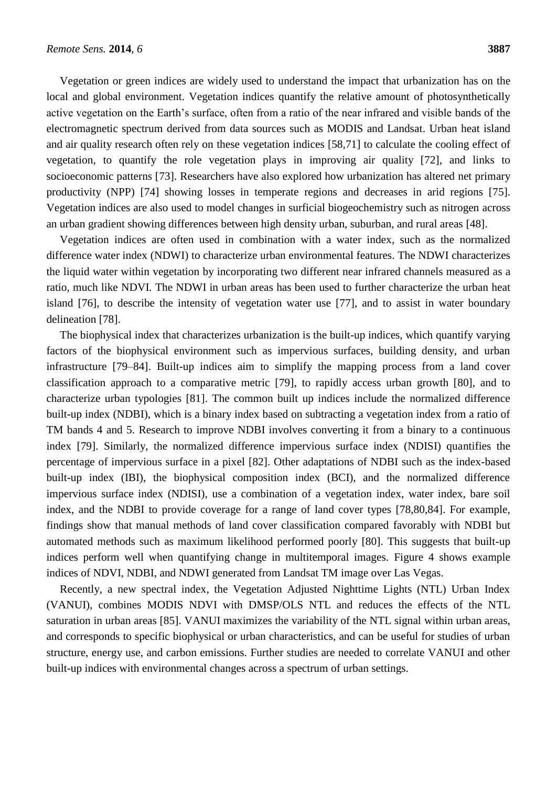Vegetation or green indices are widely used to understand the impact that urbanization has on the local and global environment. Vegetation indices quantify the relative amount of photosynthetically active vegetation on the Earth's surface, often from a ratio of the near infrared and visible bands of the electromagnetic spectrum derived from data sources such as MODIS and Landsat. Urban heat island and air quality research often rely on these vegetation indices [58,71] to calculate the cooling effect of vegetation, to quantify the role vegetation plays in improving air quality [72], and links to socioeconomic patterns [73]. Researchers have also explored how urbanization has altered net primary productivity (NPP) [74] showing losses in temperate regions and decreases in arid regions [75]. Vegetation indices are also used to model changes in surficial biogeochemistry such as nitrogen across an urban gradient showing differences between high density urban, suburban, and rural areas [48].

Vegetation indices are often used in combination with a water index, such as the normalized difference water index (NDWI) to characterize urban environmental features. The NDWI characterizes the liquid water within vegetation by incorporating two different near infrared channels measured as a ratio, much like NDVI. The NDWI in urban areas has been used to further characterize the urban heat island [76], to describe the intensity of vegetation water use [77], and to assist in water boundary delineation [78].

The biophysical index that characterizes urbanization is the built-up indices, which quantify varying factors of the biophysical environment such as impervious surfaces, building density, and urban infrastructure [79–84]. Built-up indices aim to simplify the mapping process from a land cover classification approach to a comparative metric [79], to rapidly access urban growth [80], and to characterize urban typologies [81]. The common built up indices include the normalized difference built-up index (NDBI), which is a binary index based on subtracting a vegetation index from a ratio of TM bands 4 and 5. Research to improve NDBI involves converting it from a binary to a continuous index [79]. Similarly, the normalized difference impervious surface index (NDISI) quantifies the percentage of impervious surface in a pixel [82]. Other adaptations of NDBI such as the index-based built-up index (IBI), the biophysical composition index (BCI), and the normalized difference impervious surface index (NDISI), use a combination of a vegetation index, water index, bare soil index, and the NDBI to provide coverage for a range of land cover types [78,80,84]. For example, findings show that manual methods of land cover classification compared favorably with NDBI but automated methods such as maximum likelihood performed poorly [80]. This suggests that built-up indices perform well when quantifying change in multitemporal images. Figure 4 shows example indices of NDVI, NDBI, and NDWI generated from Landsat TM image over Las Vegas.

Recently, a new spectral index, the Vegetation Adjusted Nighttime Lights (NTL) Urban Index (VANUI), combines MODIS NDVI with DMSP/OLS NTL and reduces the effects of the NTL saturation in urban areas [85]. VANUI maximizes the variability of the NTL signal within urban areas, and corresponds to specific biophysical or urban characteristics, and can be useful for studies of urban structure, energy use, and carbon emissions. Further studies are needed to correlate VANUI and other built-up indices with environmental changes across a spectrum of urban settings.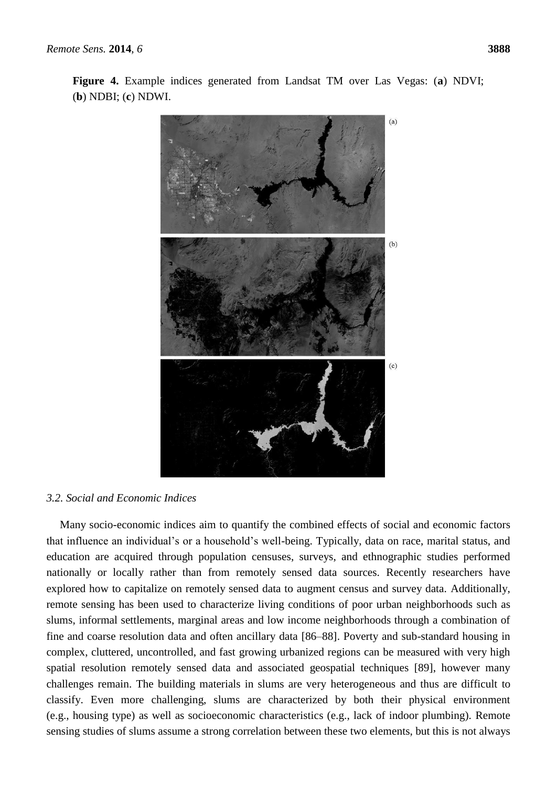**Figure 4.** Example indices generated from Landsat TM over Las Vegas: (**a**) NDVI; (**b**) NDBI; (**c**) NDWI.



#### *3.2. Social and Economic Indices*

Many socio-economic indices aim to quantify the combined effects of social and economic factors that influence an individual's or a household's well-being. Typically, data on race, marital status, and education are acquired through population censuses, surveys, and ethnographic studies performed nationally or locally rather than from remotely sensed data sources. Recently researchers have explored how to capitalize on remotely sensed data to augment census and survey data. Additionally, remote sensing has been used to characterize living conditions of poor urban neighborhoods such as slums, informal settlements, marginal areas and low income neighborhoods through a combination of fine and coarse resolution data and often ancillary data [86–88]. Poverty and sub-standard housing in complex, cluttered, uncontrolled, and fast growing urbanized regions can be measured with very high spatial resolution remotely sensed data and associated geospatial techniques [89], however many challenges remain. The building materials in slums are very heterogeneous and thus are difficult to classify. Even more challenging, slums are characterized by both their physical environment (e.g., housing type) as well as socioeconomic characteristics (e.g., lack of indoor plumbing). Remote sensing studies of slums assume a strong correlation between these two elements, but this is not always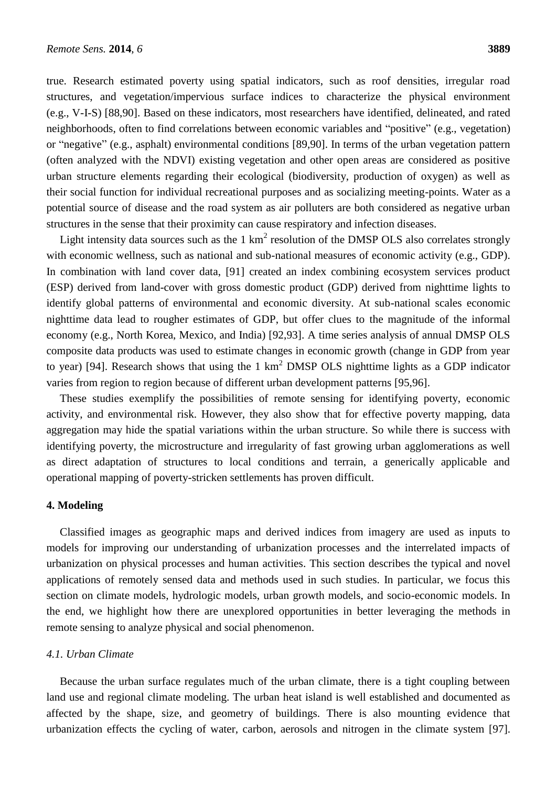true. Research estimated poverty using spatial indicators, such as roof densities, irregular road structures, and vegetation/impervious surface indices to characterize the physical environment (e.g., V-I-S) [88,90]. Based on these indicators, most researchers have identified, delineated, and rated neighborhoods, often to find correlations between economic variables and "positive" (e.g., vegetation) or "negative" (e.g., asphalt) environmental conditions [89,90]. In terms of the urban vegetation pattern (often analyzed with the NDVI) existing vegetation and other open areas are considered as positive urban structure elements regarding their ecological (biodiversity, production of oxygen) as well as their social function for individual recreational purposes and as socializing meeting-points. Water as a potential source of disease and the road system as air polluters are both considered as negative urban structures in the sense that their proximity can cause respiratory and infection diseases.

Light intensity data sources such as the  $1 \text{ km}^2$  resolution of the DMSP OLS also correlates strongly with economic wellness, such as national and sub-national measures of economic activity (e.g., GDP). In combination with land cover data, [91] created an index combining ecosystem services product (ESP) derived from land-cover with gross domestic product (GDP) derived from nighttime lights to identify global patterns of environmental and economic diversity. At sub-national scales economic nighttime data lead to rougher estimates of GDP, but offer clues to the magnitude of the informal economy (e.g., North Korea, Mexico, and India) [92,93]. A time series analysis of annual DMSP OLS composite data products was used to estimate changes in economic growth (change in GDP from year to year) [94]. Research shows that using the 1 km<sup>2</sup> DMSP OLS nighttime lights as a GDP indicator varies from region to region because of different urban development patterns [95,96].

These studies exemplify the possibilities of remote sensing for identifying poverty, economic activity, and environmental risk. However, they also show that for effective poverty mapping, data aggregation may hide the spatial variations within the urban structure. So while there is success with identifying poverty, the microstructure and irregularity of fast growing urban agglomerations as well as direct adaptation of structures to local conditions and terrain, a generically applicable and operational mapping of poverty-stricken settlements has proven difficult.

#### **4. Modeling**

Classified images as geographic maps and derived indices from imagery are used as inputs to models for improving our understanding of urbanization processes and the interrelated impacts of urbanization on physical processes and human activities. This section describes the typical and novel applications of remotely sensed data and methods used in such studies. In particular, we focus this section on climate models, hydrologic models, urban growth models, and socio-economic models. In the end, we highlight how there are unexplored opportunities in better leveraging the methods in remote sensing to analyze physical and social phenomenon.

#### *4.1. Urban Climate*

Because the urban surface regulates much of the urban climate, there is a tight coupling between land use and regional climate modeling. The urban heat island is well established and documented as affected by the shape, size, and geometry of buildings. There is also mounting evidence that urbanization effects the cycling of water, carbon, aerosols and nitrogen in the climate system [97].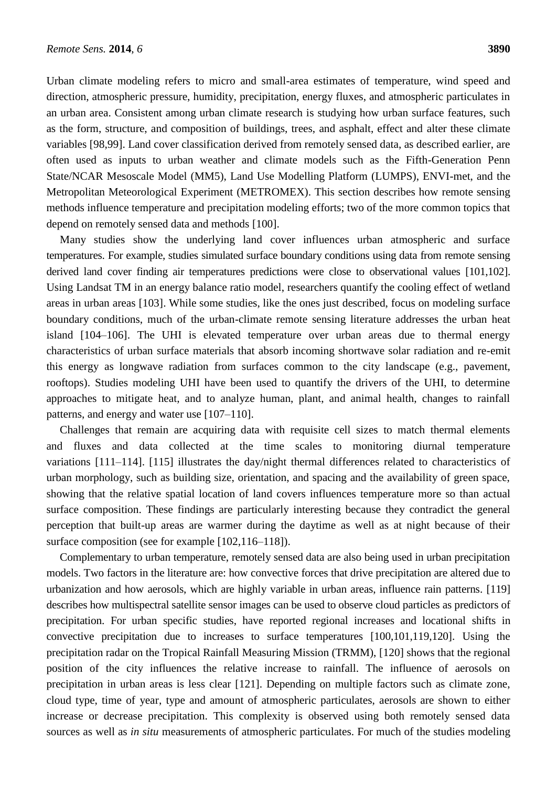Urban climate modeling refers to micro and small-area estimates of temperature, wind speed and direction, atmospheric pressure, humidity, precipitation, energy fluxes, and atmospheric particulates in an urban area. Consistent among urban climate research is studying how urban surface features, such as the form, structure, and composition of buildings, trees, and asphalt, effect and alter these climate variables [98,99]. Land cover classification derived from remotely sensed data, as described earlier, are often used as inputs to urban weather and climate models such as the Fifth-Generation Penn State/NCAR Mesoscale Model (MM5), Land Use Modelling Platform (LUMPS), ENVI-met, and the Metropolitan Meteorological Experiment (METROMEX). This section describes how remote sensing methods influence temperature and precipitation modeling efforts; two of the more common topics that depend on remotely sensed data and methods [100].

Many studies show the underlying land cover influences urban atmospheric and surface temperatures. For example, studies simulated surface boundary conditions using data from remote sensing derived land cover finding air temperatures predictions were close to observational values [101,102]. Using Landsat TM in an energy balance ratio model, researchers quantify the cooling effect of wetland areas in urban areas [103]. While some studies, like the ones just described, focus on modeling surface boundary conditions, much of the urban-climate remote sensing literature addresses the urban heat island [104–106]. The UHI is elevated temperature over urban areas due to thermal energy characteristics of urban surface materials that absorb incoming shortwave solar radiation and re-emit this energy as longwave radiation from surfaces common to the city landscape (e.g., pavement, rooftops). Studies modeling UHI have been used to quantify the drivers of the UHI, to determine approaches to mitigate heat, and to analyze human, plant, and animal health, changes to rainfall patterns, and energy and water use [107–110].

Challenges that remain are acquiring data with requisite cell sizes to match thermal elements and fluxes and data collected at the time scales to monitoring diurnal temperature variations [111–114]. [115] illustrates the day/night thermal differences related to characteristics of urban morphology, such as building size, orientation, and spacing and the availability of green space, showing that the relative spatial location of land covers influences temperature more so than actual surface composition. These findings are particularly interesting because they contradict the general perception that built-up areas are warmer during the daytime as well as at night because of their surface composition (see for example [102,116–118]).

Complementary to urban temperature, remotely sensed data are also being used in urban precipitation models. Two factors in the literature are: how convective forces that drive precipitation are altered due to urbanization and how aerosols, which are highly variable in urban areas, influence rain patterns. [119] describes how multispectral satellite sensor images can be used to observe cloud particles as predictors of precipitation. For urban specific studies, have reported regional increases and locational shifts in convective precipitation due to increases to surface temperatures [100,101,119,120]. Using the precipitation radar on the Tropical Rainfall Measuring Mission (TRMM), [120] shows that the regional position of the city influences the relative increase to rainfall. The influence of aerosols on precipitation in urban areas is less clear [121]. Depending on multiple factors such as climate zone, cloud type, time of year, type and amount of atmospheric particulates, aerosols are shown to either increase or decrease precipitation. This complexity is observed using both remotely sensed data sources as well as *in situ* measurements of atmospheric particulates. For much of the studies modeling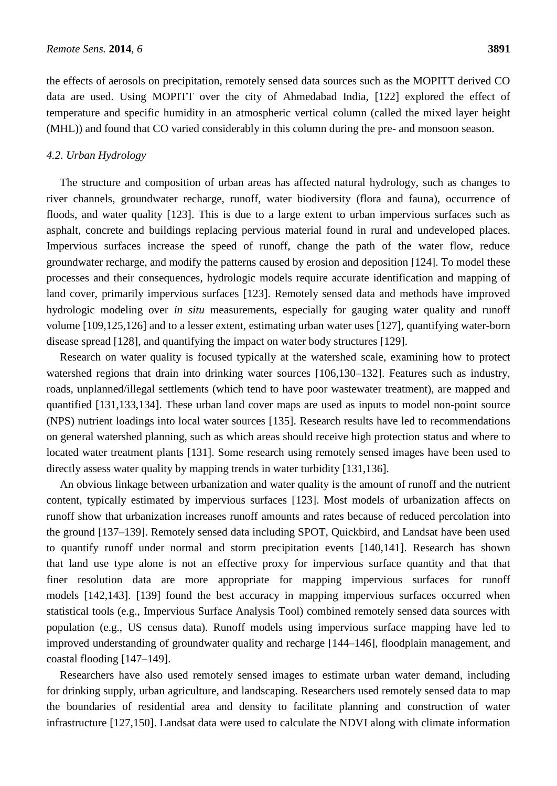the effects of aerosols on precipitation, remotely sensed data sources such as the MOPITT derived CO data are used. Using MOPITT over the city of Ahmedabad India, [122] explored the effect of temperature and specific humidity in an atmospheric vertical column (called the mixed layer height (MHL)) and found that CO varied considerably in this column during the pre- and monsoon season.

#### *4.2. Urban Hydrology*

The structure and composition of urban areas has affected natural hydrology, such as changes to river channels, groundwater recharge, runoff, water biodiversity (flora and fauna), occurrence of floods, and water quality [123]. This is due to a large extent to urban impervious surfaces such as asphalt, concrete and buildings replacing pervious material found in rural and undeveloped places. Impervious surfaces increase the speed of runoff, change the path of the water flow, reduce groundwater recharge, and modify the patterns caused by erosion and deposition [124]. To model these processes and their consequences, hydrologic models require accurate identification and mapping of land cover, primarily impervious surfaces [123]. Remotely sensed data and methods have improved hydrologic modeling over *in situ* measurements, especially for gauging water quality and runoff volume [109,125,126] and to a lesser extent, estimating urban water uses [127], quantifying water-born disease spread [128], and quantifying the impact on water body structures [129].

Research on water quality is focused typically at the watershed scale, examining how to protect watershed regions that drain into drinking water sources [106,130–132]. Features such as industry, roads, unplanned/illegal settlements (which tend to have poor wastewater treatment), are mapped and quantified [131,133,134]. These urban land cover maps are used as inputs to model non-point source (NPS) nutrient loadings into local water sources [135]. Research results have led to recommendations on general watershed planning, such as which areas should receive high protection status and where to located water treatment plants [131]. Some research using remotely sensed images have been used to directly assess water quality by mapping trends in water turbidity [131,136].

An obvious linkage between urbanization and water quality is the amount of runoff and the nutrient content, typically estimated by impervious surfaces [123]. Most models of urbanization affects on runoff show that urbanization increases runoff amounts and rates because of reduced percolation into the ground [137–139]. Remotely sensed data including SPOT, Quickbird, and Landsat have been used to quantify runoff under normal and storm precipitation events [140,141]. Research has shown that land use type alone is not an effective proxy for impervious surface quantity and that that finer resolution data are more appropriate for mapping impervious surfaces for runoff models [142,143]. [139] found the best accuracy in mapping impervious surfaces occurred when statistical tools (e.g., Impervious Surface Analysis Tool) combined remotely sensed data sources with population (e.g., US census data). Runoff models using impervious surface mapping have led to improved understanding of groundwater quality and recharge [144–146], floodplain management, and coastal flooding [147–149].

Researchers have also used remotely sensed images to estimate urban water demand, including for drinking supply, urban agriculture, and landscaping. Researchers used remotely sensed data to map the boundaries of residential area and density to facilitate planning and construction of water infrastructure [127,150]. Landsat data were used to calculate the NDVI along with climate information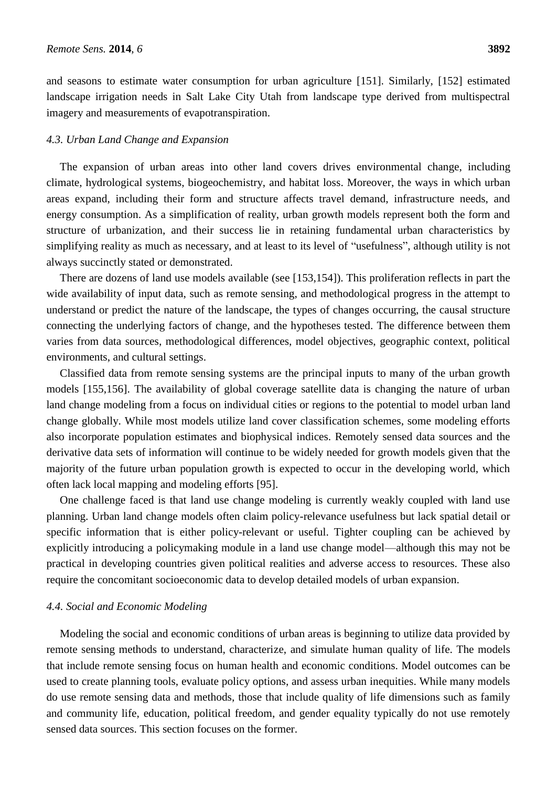and seasons to estimate water consumption for urban agriculture [151]. Similarly, [152] estimated landscape irrigation needs in Salt Lake City Utah from landscape type derived from multispectral imagery and measurements of evapotranspiration.

#### *4.3. Urban Land Change and Expansion*

The expansion of urban areas into other land covers drives environmental change, including climate, hydrological systems, biogeochemistry, and habitat loss. Moreover, the ways in which urban areas expand, including their form and structure affects travel demand, infrastructure needs, and energy consumption. As a simplification of reality, urban growth models represent both the form and structure of urbanization, and their success lie in retaining fundamental urban characteristics by simplifying reality as much as necessary, and at least to its level of "usefulness", although utility is not always succinctly stated or demonstrated.

There are dozens of land use models available (see [153,154]). This proliferation reflects in part the wide availability of input data, such as remote sensing, and methodological progress in the attempt to understand or predict the nature of the landscape, the types of changes occurring, the causal structure connecting the underlying factors of change, and the hypotheses tested. The difference between them varies from data sources, methodological differences, model objectives, geographic context, political environments, and cultural settings.

Classified data from remote sensing systems are the principal inputs to many of the urban growth models [155,156]. The availability of global coverage satellite data is changing the nature of urban land change modeling from a focus on individual cities or regions to the potential to model urban land change globally. While most models utilize land cover classification schemes, some modeling efforts also incorporate population estimates and biophysical indices. Remotely sensed data sources and the derivative data sets of information will continue to be widely needed for growth models given that the majority of the future urban population growth is expected to occur in the developing world, which often lack local mapping and modeling efforts [95].

One challenge faced is that land use change modeling is currently weakly coupled with land use planning. Urban land change models often claim policy-relevance usefulness but lack spatial detail or specific information that is either policy-relevant or useful. Tighter coupling can be achieved by explicitly introducing a policymaking module in a land use change model—although this may not be practical in developing countries given political realities and adverse access to resources. These also require the concomitant socioeconomic data to develop detailed models of urban expansion.

#### *4.4. Social and Economic Modeling*

Modeling the social and economic conditions of urban areas is beginning to utilize data provided by remote sensing methods to understand, characterize, and simulate human quality of life. The models that include remote sensing focus on human health and economic conditions. Model outcomes can be used to create planning tools, evaluate policy options, and assess urban inequities. While many models do use remote sensing data and methods, those that include quality of life dimensions such as family and community life, education, political freedom, and gender equality typically do not use remotely sensed data sources. This section focuses on the former.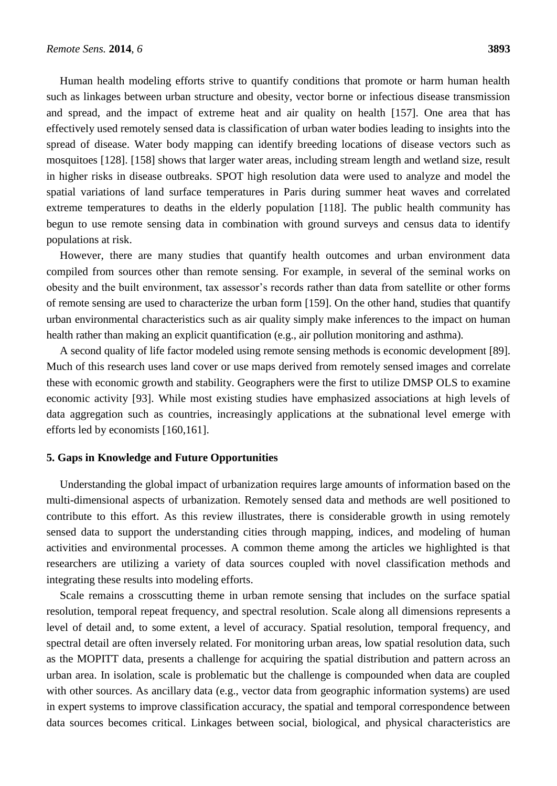Human health modeling efforts strive to quantify conditions that promote or harm human health such as linkages between urban structure and obesity, vector borne or infectious disease transmission and spread, and the impact of extreme heat and air quality on health [157]. One area that has effectively used remotely sensed data is classification of urban water bodies leading to insights into the spread of disease. Water body mapping can identify breeding locations of disease vectors such as mosquitoes [128]. [158] shows that larger water areas, including stream length and wetland size, result in higher risks in disease outbreaks. SPOT high resolution data were used to analyze and model the spatial variations of land surface temperatures in Paris during summer heat waves and correlated extreme temperatures to deaths in the elderly population [118]. The public health community has begun to use remote sensing data in combination with ground surveys and census data to identify populations at risk.

However, there are many studies that quantify health outcomes and urban environment data compiled from sources other than remote sensing. For example, in several of the seminal works on obesity and the built environment, tax assessor's records rather than data from satellite or other forms of remote sensing are used to characterize the urban form [159]. On the other hand, studies that quantify urban environmental characteristics such as air quality simply make inferences to the impact on human health rather than making an explicit quantification (e.g., air pollution monitoring and asthma).

A second quality of life factor modeled using remote sensing methods is economic development [89]. Much of this research uses land cover or use maps derived from remotely sensed images and correlate these with economic growth and stability. Geographers were the first to utilize DMSP OLS to examine economic activity [93]. While most existing studies have emphasized associations at high levels of data aggregation such as countries, increasingly applications at the subnational level emerge with efforts led by economists [160,161].

#### **5. Gaps in Knowledge and Future Opportunities**

Understanding the global impact of urbanization requires large amounts of information based on the multi-dimensional aspects of urbanization. Remotely sensed data and methods are well positioned to contribute to this effort. As this review illustrates, there is considerable growth in using remotely sensed data to support the understanding cities through mapping, indices, and modeling of human activities and environmental processes. A common theme among the articles we highlighted is that researchers are utilizing a variety of data sources coupled with novel classification methods and integrating these results into modeling efforts.

Scale remains a crosscutting theme in urban remote sensing that includes on the surface spatial resolution, temporal repeat frequency, and spectral resolution. Scale along all dimensions represents a level of detail and, to some extent, a level of accuracy. Spatial resolution, temporal frequency, and spectral detail are often inversely related. For monitoring urban areas, low spatial resolution data, such as the MOPITT data, presents a challenge for acquiring the spatial distribution and pattern across an urban area. In isolation, scale is problematic but the challenge is compounded when data are coupled with other sources. As ancillary data (e.g., vector data from geographic information systems) are used in expert systems to improve classification accuracy, the spatial and temporal correspondence between data sources becomes critical. Linkages between social, biological, and physical characteristics are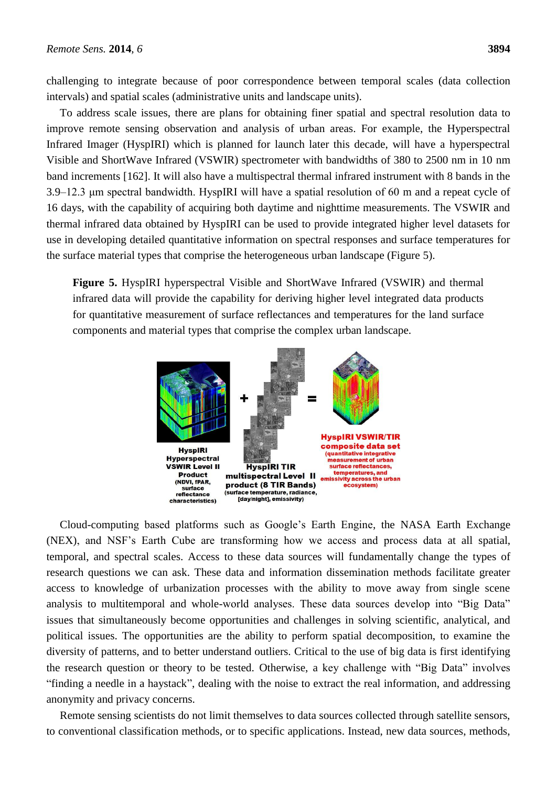challenging to integrate because of poor correspondence between temporal scales (data collection intervals) and spatial scales (administrative units and landscape units).

To address scale issues, there are plans for obtaining finer spatial and spectral resolution data to improve remote sensing observation and analysis of urban areas. For example, the Hyperspectral Infrared Imager (HyspIRI) which is planned for launch later this decade, will have a hyperspectral Visible and ShortWave Infrared (VSWIR) spectrometer with bandwidths of 380 to 2500 nm in 10 nm band increments [162]. It will also have a multispectral thermal infrared instrument with 8 bands in the 3.9–12.3 μm spectral bandwidth. HyspIRI will have a spatial resolution of 60 m and a repeat cycle of 16 days, with the capability of acquiring both daytime and nighttime measurements. The VSWIR and thermal infrared data obtained by HyspIRI can be used to provide integrated higher level datasets for use in developing detailed quantitative information on spectral responses and surface temperatures for the surface material types that comprise the heterogeneous urban landscape (Figure 5).

**Figure 5.** HyspIRI hyperspectral Visible and ShortWave Infrared (VSWIR) and thermal infrared data will provide the capability for deriving higher level integrated data products for quantitative measurement of surface reflectances and temperatures for the land surface components and material types that comprise the complex urban landscape.



Cloud-computing based platforms such as Google's Earth Engine, the NASA Earth Exchange (NEX), and NSF's Earth Cube are transforming how we access and process data at all spatial, temporal, and spectral scales. Access to these data sources will fundamentally change the types of research questions we can ask. These data and information dissemination methods facilitate greater access to knowledge of urbanization processes with the ability to move away from single scene analysis to multitemporal and whole-world analyses. These data sources develop into "Big Data" issues that simultaneously become opportunities and challenges in solving scientific, analytical, and political issues. The opportunities are the ability to perform spatial decomposition, to examine the diversity of patterns, and to better understand outliers. Critical to the use of big data is first identifying the research question or theory to be tested. Otherwise, a key challenge with "Big Data" involves ―finding a needle in a haystack‖, dealing with the noise to extract the real information, and addressing anonymity and privacy concerns.

Remote sensing scientists do not limit themselves to data sources collected through satellite sensors, to conventional classification methods, or to specific applications. Instead, new data sources, methods,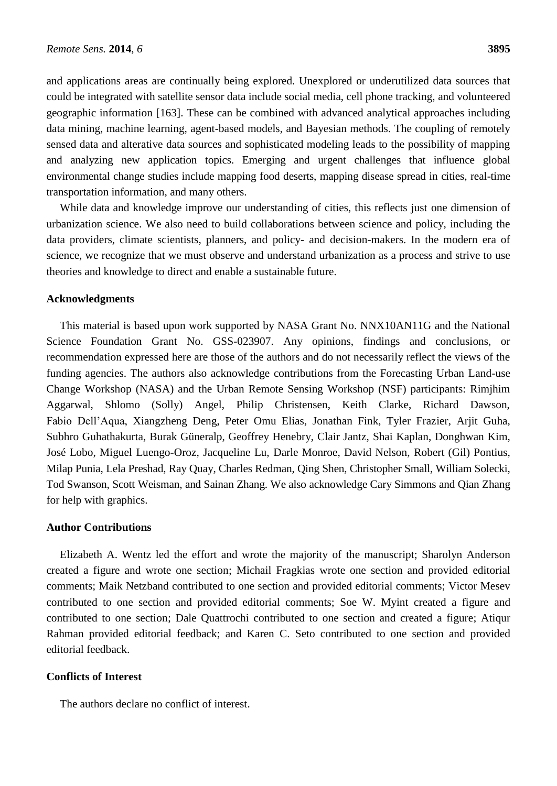and applications areas are continually being explored. Unexplored or underutilized data sources that could be integrated with satellite sensor data include social media, cell phone tracking, and volunteered geographic information [163]. These can be combined with advanced analytical approaches including data mining, machine learning, agent-based models, and Bayesian methods. The coupling of remotely sensed data and alterative data sources and sophisticated modeling leads to the possibility of mapping and analyzing new application topics. Emerging and urgent challenges that influence global environmental change studies include mapping food deserts, mapping disease spread in cities, real-time transportation information, and many others.

While data and knowledge improve our understanding of cities, this reflects just one dimension of urbanization science. We also need to build collaborations between science and policy, including the data providers, climate scientists, planners, and policy- and decision-makers. In the modern era of science, we recognize that we must observe and understand urbanization as a process and strive to use theories and knowledge to direct and enable a sustainable future.

#### **Acknowledgments**

This material is based upon work supported by NASA Grant No. NNX10AN11G and the National Science Foundation Grant No. GSS-023907. Any opinions, findings and conclusions, or recommendation expressed here are those of the authors and do not necessarily reflect the views of the funding agencies. The authors also acknowledge contributions from the Forecasting Urban Land-use Change Workshop (NASA) and the Urban Remote Sensing Workshop (NSF) participants: Rimjhim Aggarwal, Shlomo (Solly) Angel, Philip Christensen, Keith Clarke, Richard Dawson, Fabio Dell'Aqua, Xiangzheng Deng, Peter Omu Elias, Jonathan Fink, Tyler Frazier, Arjit Guha, Subhro Guhathakurta, Burak Güneralp, Geoffrey Henebry, Clair Jantz, Shai Kaplan, Donghwan Kim, JoséLobo, Miguel Luengo-Oroz, Jacqueline Lu, Darle Monroe, David Nelson, Robert (Gil) Pontius, Milap Punia, Lela Preshad, Ray Quay, Charles Redman, Qing Shen, Christopher Small, William Solecki, Tod Swanson, Scott Weisman, and Sainan Zhang. We also acknowledge Cary Simmons and Qian Zhang for help with graphics.

#### **Author Contributions**

Elizabeth A. Wentz led the effort and wrote the majority of the manuscript; Sharolyn Anderson created a figure and wrote one section; Michail Fragkias wrote one section and provided editorial comments; Maik Netzband contributed to one section and provided editorial comments; Victor Mesev contributed to one section and provided editorial comments; Soe W. Myint created a figure and contributed to one section; Dale Quattrochi contributed to one section and created a figure; Atiqur Rahman provided editorial feedback; and Karen C. Seto contributed to one section and provided editorial feedback.

#### **Conflicts of Interest**

The authors declare no conflict of interest.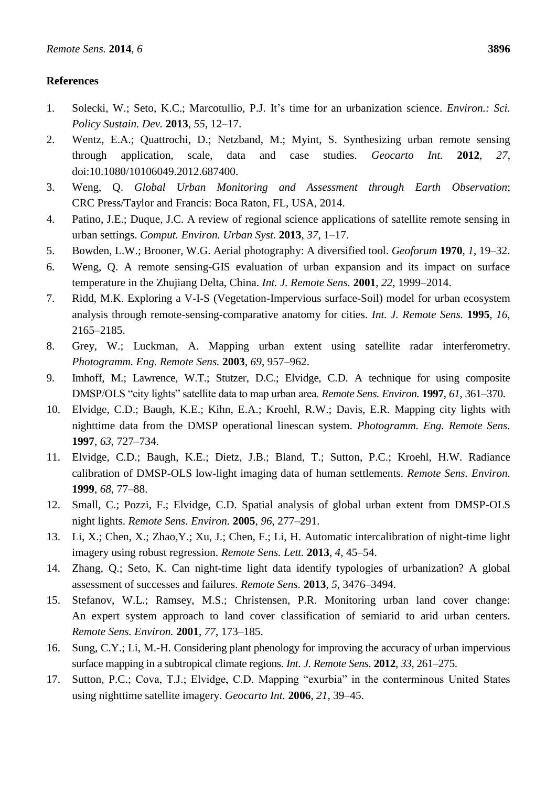#### **References**

- 1. Solecki, W.; Seto, K.C.; Marcotullio, P.J. It's time for an urbanization science. *Environ.: Sci. Policy Sustain. Dev.* **2013**, *55*, 12–17.
- 2. Wentz, E.A.; Quattrochi, D.; Netzband, M.; Myint, S. Synthesizing urban remote sensing through application, scale, data and case studies. *Geocarto Int.* **2012**, *27*, doi:10.1080/10106049.2012.687400.
- 3. Weng, Q. *Global Urban Monitoring and Assessment through Earth Observation*; CRC Press/Taylor and Francis: Boca Raton, FL, USA, 2014.
- 4. Patino, J.E.; Duque, J.C. A review of regional science applications of satellite remote sensing in urban settings. *Comput. Environ. Urban Syst.* **2013**, *37*, 1–17.
- 5. Bowden, L.W.; Brooner, W.G. Aerial photography: A diversified tool. *Geoforum* **1970**, *1*, 19–32.
- 6. Weng, Q. A remote sensing-GIS evaluation of urban expansion and its impact on surface temperature in the Zhujiang Delta, China. *Int. J. Remote Sens.* **2001**, *22*, 1999–2014.
- 7. Ridd, M.K. Exploring a V-I-S (Vegetation-Impervious surface-Soil) model for urban ecosystem analysis through remote-sensing-comparative anatomy for cities. *Int. J. Remote Sens.* **1995**, *16*, 2165–2185.
- 8. Grey, W.; Luckman, A. Mapping urban extent using satellite radar interferometry. *Photogramm. Eng. Remote Sens.* **2003**, *69*, 957–962.
- 9. Imhoff, M.; Lawrence, W.T.; Stutzer, D.C.; Elvidge, C.D. A technique for using composite DMSP/OLS "city lights" satellite data to map urban area. *Remote Sens. Environ.* **1997**, *61*, 361–370.
- 10. Elvidge, C.D.; Baugh, K.E.; Kihn, E.A.; Kroehl, R.W.; Davis, E.R. Mapping city lights with nighttime data from the DMSP operational linescan system. *Photogramm. Eng. Remote Sens.* **1997**, *63*, 727–734.
- 11. Elvidge, C.D.; Baugh, K.E.; Dietz, J.B.; Bland, T.; Sutton, P.C.; Kroehl, H.W. Radiance calibration of DMSP-OLS low-light imaging data of human settlements. *Remote Sens. Environ.* **1999**, *68*, 77–88.
- 12. Small, C.; Pozzi, F.; Elvidge, C.D. Spatial analysis of global urban extent from DMSP-OLS night lights. *Remote Sens. Environ.* **2005**, *96*, 277–291.
- 13. Li, X.; Chen, X.; Zhao,Y.; Xu, J.; Chen, F.; Li, H. Automatic intercalibration of night-time light imagery using robust regression. *Remote Sens. Lett.* **2013**, *4*, 45–54.
- 14. Zhang, Q.; Seto, K. Can night-time light data identify typologies of urbanization? A global assessment of successes and failures. *Remote Sens.* **2013**, *5*, 3476–3494.
- 15. Stefanov, W.L.; Ramsey, M.S.; Christensen, P.R. Monitoring urban land cover change: An expert system approach to land cover classification of semiarid to arid urban centers. *Remote Sens. Environ.* **2001**, *77*, 173–185.
- 16. Sung, C.Y.; Li, M.-H. Considering plant phenology for improving the accuracy of urban impervious surface mapping in a subtropical climate regions. *Int. J. Remote Sens.* **2012**, *33*, 261–275.
- 17. Sutton, P.C.; Cova, T.J.; Elvidge, C.D. Mapping "exurbia" in the conterminous United States using nighttime satellite imagery. *Geocarto Int.* **2006**, *21*, 39–45.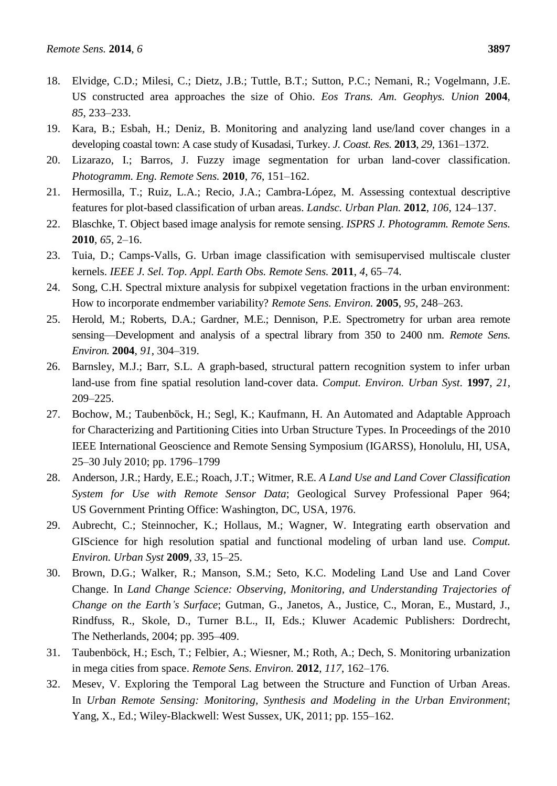- 18. Elvidge, C.D.; Milesi, C.; Dietz, J.B.; Tuttle, B.T.; Sutton, P.C.; Nemani, R.; Vogelmann, J.E. US constructed area approaches the size of Ohio. *Eos Trans. Am. Geophys. Union* **2004**, *85*, 233–233.
- 19. Kara, B.; Esbah, H.; Deniz, B. Monitoring and analyzing land use/land cover changes in a developing coastal town: A case study of Kusadasi, Turkey. *J. Coast. Res.* **2013**, *29*, 1361–1372.
- 20. Lizarazo, I.; Barros, J. Fuzzy image segmentation for urban land-cover classification. *Photogramm. Eng. Remote Sens.* **2010**, *76*, 151–162.
- 21. Hermosilla, T.; Ruiz, L.A.; Recio, J.A.; Cambra-López, M. Assessing contextual descriptive features for plot-based classification of urban areas. *Landsc. Urban Plan.* **2012**, *106*, 124–137.
- 22. Blaschke, T. Object based image analysis for remote sensing. *ISPRS J. Photogramm. Remote Sens.* **2010**, *65*, 2–16.
- 23. Tuia, D.; Camps-Valls, G. Urban image classification with semisupervised multiscale cluster kernels. *IEEE J. Sel. Top. Appl. Earth Obs. Remote Sens.* **2011**, *4*, 65–74.
- 24. Song, C.H. Spectral mixture analysis for subpixel vegetation fractions in the urban environment: How to incorporate endmember variability? *Remote Sens. Environ.* **2005**, *95*, 248–263.
- 25. Herold, M.; Roberts, D.A.; Gardner, M.E.; Dennison, P.E. Spectrometry for urban area remote sensing—Development and analysis of a spectral library from 350 to 2400 nm. *Remote Sens. Environ.* **2004**, *91*, 304–319.
- 26. Barnsley, M.J.; Barr, S.L. A graph-based, structural pattern recognition system to infer urban land-use from fine spatial resolution land-cover data. *Comput. Environ. Urban Syst.* **1997**, *21*, 209–225.
- 27. Bochow, M.; Taubenböck, H.; Segl, K.; Kaufmann, H. An Automated and Adaptable Approach for Characterizing and Partitioning Cities into Urban Structure Types. In Proceedings of the 2010 IEEE International Geoscience and Remote Sensing Symposium (IGARSS), Honolulu, HI, USA, 25–30 July 2010; pp. 1796–1799
- 28. Anderson, J.R.; Hardy, E.E.; Roach, J.T.; Witmer, R.E. *A Land Use and Land Cover Classification System for Use with Remote Sensor Data*; Geological Survey Professional Paper 964; US Government Printing Office: Washington, DC, USA, 1976.
- 29. Aubrecht, C.; Steinnocher, K.; Hollaus, M.; Wagner, W. Integrating earth observation and GIScience for high resolution spatial and functional modeling of urban land use. *Comput. Environ. Urban Syst* **2009**, *33*, 15–25.
- 30. Brown, D.G.; Walker, R.; Manson, S.M.; Seto, K.C. Modeling Land Use and Land Cover Change. In *Land Change Science: Observing, Monitoring, and Understanding Trajectories of Change on the Earth's Surface*; Gutman, G., Janetos, A., Justice, C., Moran, E., Mustard, J., Rindfuss, R., Skole, D., Turner B.L., II, Eds.; Kluwer Academic Publishers: Dordrecht, The Netherlands, 2004; pp. 395–409.
- 31. Taubenböck, H.; Esch, T.; Felbier, A.; Wiesner, M.; Roth, A.; Dech, S. Monitoring urbanization in mega cities from space. *Remote Sens. Environ.* **2012**, *117*, 162–176.
- 32. Mesev, V. Exploring the Temporal Lag between the Structure and Function of Urban Areas. In *Urban Remote Sensing: Monitoring, Synthesis and Modeling in the Urban Environment*; Yang, X., Ed.; Wiley-Blackwell: West Sussex, UK, 2011; pp. 155–162.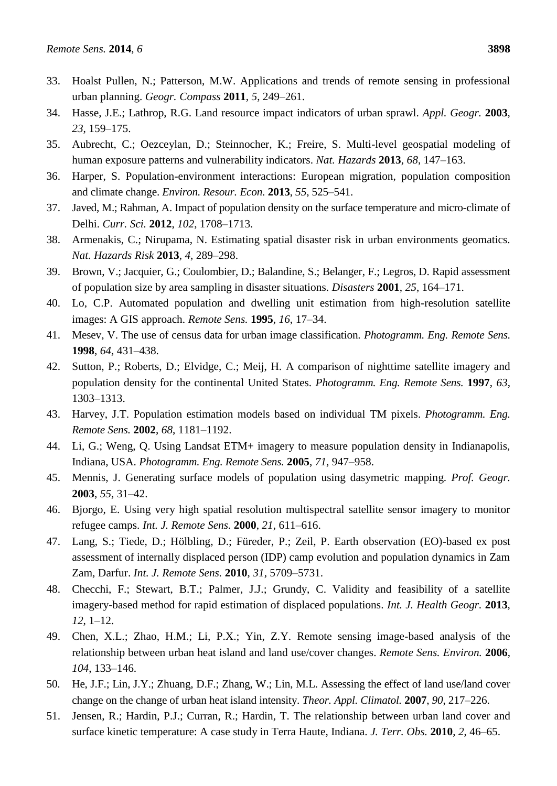- 33. Hoalst Pullen, N.; Patterson, M.W. Applications and trends of remote sensing in professional urban planning. *Geogr. Compass* **2011**, *5*, 249–261.
- 34. Hasse, J.E.; Lathrop, R.G. Land resource impact indicators of urban sprawl. *Appl. Geogr.* **2003**, *23*, 159–175.
- 35. Aubrecht, C.; Oezceylan, D.; Steinnocher, K.; Freire, S. Multi-level geospatial modeling of human exposure patterns and vulnerability indicators. *Nat. Hazards* **2013**, *68*, 147–163.
- 36. Harper, S. Population-environment interactions: European migration, population composition and climate change. *Environ. Resour. Econ.* **2013**, *55*, 525–541.
- 37. Javed, M.; Rahman, A. Impact of population density on the surface temperature and micro-climate of Delhi. *Curr. Sci.* **2012**, *102*, 1708–1713.
- 38. Armenakis, C.; Nirupama, N. Estimating spatial disaster risk in urban environments geomatics. *Nat. Hazards Risk* **2013**, *4*, 289–298.
- 39. Brown, V.; Jacquier, G.; Coulombier, D.; Balandine, S.; Belanger, F.; Legros, D. Rapid assessment of population size by area sampling in disaster situations. *Disasters* **2001**, *25*, 164–171.
- 40. Lo, C.P. Automated population and dwelling unit estimation from high-resolution satellite images: A GIS approach. *Remote Sens.* **1995**, *16*, 17–34.
- 41. Mesev, V. The use of census data for urban image classification. *Photogramm. Eng. Remote Sens.* **1998**, *64*, 431–438.
- 42. Sutton, P.; Roberts, D.; Elvidge, C.; Meij, H. A comparison of nighttime satellite imagery and population density for the continental United States. *Photogramm. Eng. Remote Sens.* **1997**, *63*, 1303–1313.
- 43. Harvey, J.T. Population estimation models based on individual TM pixels. *Photogramm. Eng. Remote Sens.* **2002**, *68*, 1181–1192.
- 44. Li, G.; Weng, Q. Using Landsat ETM+ imagery to measure population density in Indianapolis, Indiana, USA. *Photogramm. Eng. Remote Sens.* **2005**, *71*, 947–958.
- 45. Mennis, J. Generating surface models of population using dasymetric mapping. *Prof. Geogr.* **2003**, *55*, 31–42.
- 46. Bjorgo, E. Using very high spatial resolution multispectral satellite sensor imagery to monitor refugee camps. *Int. J. Remote Sens.* **2000**, *21*, 611–616.
- 47. Lang, S.; Tiede, D.; Hölbling, D.; Füreder, P.; Zeil, P. Earth observation (EO)-based ex post assessment of internally displaced person (IDP) camp evolution and population dynamics in Zam Zam, Darfur. *Int. J. Remote Sens.* **2010**, *31*, 5709–5731.
- 48. Checchi, F.; Stewart, B.T.; Palmer, J.J.; Grundy, C. Validity and feasibility of a satellite imagery-based method for rapid estimation of displaced populations. *Int. J. Health Geogr.* **2013**, *12*, 1–12.
- 49. Chen, X.L.; Zhao, H.M.; Li, P.X.; Yin, Z.Y. Remote sensing image-based analysis of the relationship between urban heat island and land use/cover changes. *Remote Sens. Environ.* **2006**, *104*, 133–146.
- 50. He, J.F.; Lin, J.Y.; Zhuang, D.F.; Zhang, W.; Lin, M.L. Assessing the effect of land use/land cover change on the change of urban heat island intensity. *Theor. Appl. Climatol.* **2007**, *90*, 217–226.
- 51. Jensen, R.; Hardin, P.J.; Curran, R.; Hardin, T. The relationship between urban land cover and surface kinetic temperature: A case study in Terra Haute, Indiana. *J. Terr. Obs.* **2010**, *2*, 46–65.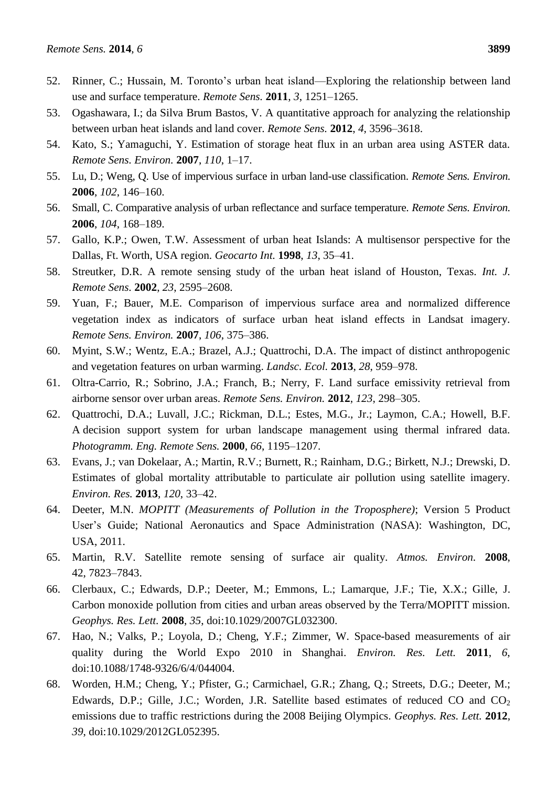- 52. Rinner, C.; Hussain, M. Toronto's urban heat island—Exploring the relationship between land use and surface temperature. *Remote Sens.* **2011**, *3*, 1251–1265.
- 53. Ogashawara, I.; da Silva Brum Bastos, V. A quantitative approach for analyzing the relationship between urban heat islands and land cover. *Remote Sens.* **2012**, *4*, 3596–3618.
- 54. Kato, S.; Yamaguchi, Y. Estimation of storage heat flux in an urban area using ASTER data. *Remote Sens. Environ.* **2007**, *110*, 1–17.
- 55. Lu, D.; Weng, Q. Use of impervious surface in urban land-use classification. *Remote Sens. Environ.* **2006**, *102*, 146–160.
- 56. Small, C. Comparative analysis of urban reflectance and surface temperature. *Remote Sens. Environ.* **2006**, *104*, 168–189.
- 57. Gallo, K.P.; Owen, T.W. Assessment of urban heat Islands: A multisensor perspective for the Dallas, Ft. Worth, USA region. *Geocarto Int.* **1998**, *13*, 35–41.
- 58. Streutker, D.R. A remote sensing study of the urban heat island of Houston, Texas. *Int. J. Remote Sens.* **2002**, *23*, 2595–2608.
- 59. Yuan, F.; Bauer, M.E. Comparison of impervious surface area and normalized difference vegetation index as indicators of surface urban heat island effects in Landsat imagery. *Remote Sens. Environ.* **2007**, *106*, 375–386.
- 60. Myint, S.W.; Wentz, E.A.; Brazel, A.J.; Quattrochi, D.A. The impact of distinct anthropogenic and vegetation features on urban warming. *Landsc. Ecol.* **2013**, *28*, 959–978.
- 61. Oltra-Carrio, R.; Sobrino, J.A.; Franch, B.; Nerry, F. Land surface emissivity retrieval from airborne sensor over urban areas. *Remote Sens. Environ.* **2012**, *123*, 298–305.
- 62. Quattrochi, D.A.; Luvall, J.C.; Rickman, D.L.; Estes, M.G., Jr.; Laymon, C.A.; Howell, B.F. A decision support system for urban landscape management using thermal infrared data. *Photogramm. Eng. Remote Sens.* **2000**, *66*, 1195–1207.
- 63. Evans, J.; van Dokelaar, A.; Martin, R.V.; Burnett, R.; Rainham, D.G.; Birkett, N.J.; Drewski, D. Estimates of global mortality attributable to particulate air pollution using satellite imagery. *Environ. Res.* **2013**, *120*, 33–42.
- 64. Deeter, M.N. *MOPITT (Measurements of Pollution in the Troposphere)*; Version 5 Product User's Guide; National Aeronautics and Space Administration (NASA): Washington, DC, USA, 2011.
- 65. Martin, R.V. Satellite remote sensing of surface air quality. *Atmos. Environ.* **2008**, 42, 7823–7843.
- 66. Clerbaux, C.; Edwards, D.P.; Deeter, M.; Emmons, L.; Lamarque, J.F.; Tie, X.X.; Gille, J. Carbon monoxide pollution from cities and urban areas observed by the Terra/MOPITT mission. *Geophys. Res. Lett.* **2008**, *35*, doi:10.1029/2007GL032300.
- 67. Hao, N.; Valks, P.; Loyola, D.; Cheng, Y.F.; Zimmer, W. Space-based measurements of air quality during the World Expo 2010 in Shanghai. *Environ. Res. Lett.* **2011**, *6*, doi:10.1088/1748-9326/6/4/044004.
- 68. Worden, H.M.; Cheng, Y.; Pfister, G.; Carmichael, G.R.; Zhang, Q.; Streets, D.G.; Deeter, M.; Edwards, D.P.; Gille, J.C.; Worden, J.R. Satellite based estimates of reduced CO and  $CO<sub>2</sub>$ emissions due to traffic restrictions during the 2008 Beijing Olympics. *Geophys. Res. Lett.* **2012**, *39*, doi:10.1029/2012GL052395.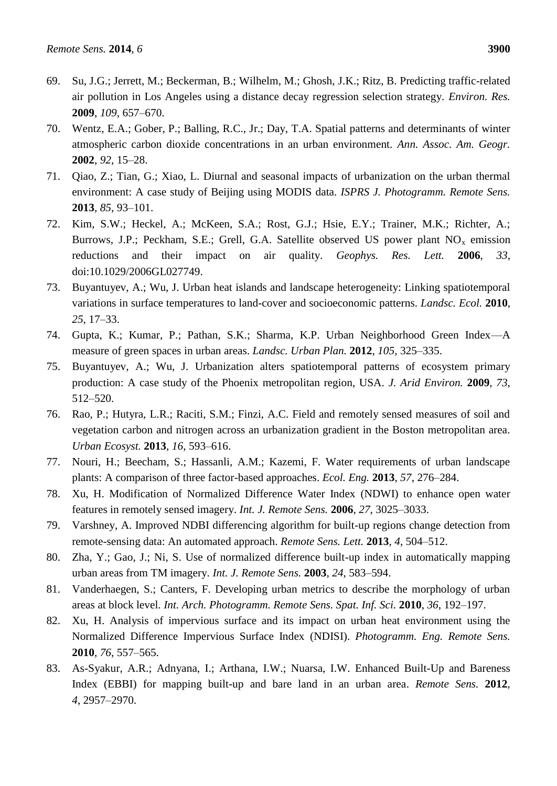- 69. Su, J.G.; Jerrett, M.; Beckerman, B.; Wilhelm, M.; Ghosh, J.K.; Ritz, B. Predicting traffic-related air pollution in Los Angeles using a distance decay regression selection strategy. *Environ. Res.* **2009**, *109*, 657–670.
- 70. Wentz, E.A.; Gober, P.; Balling, R.C., Jr.; Day, T.A. Spatial patterns and determinants of winter atmospheric carbon dioxide concentrations in an urban environment. *Ann. Assoc. Am. Geogr.* **2002**, *92*, 15–28.
- 71. Qiao, Z.; Tian, G.; Xiao, L. Diurnal and seasonal impacts of urbanization on the urban thermal environment: A case study of Beijing using MODIS data. *ISPRS J. Photogramm. Remote Sens.* **2013**, *85*, 93–101.
- 72. Kim, S.W.; Heckel, A.; McKeen, S.A.; Rost, G.J.; Hsie, E.Y.; Trainer, M.K.; Richter, A.; Burrows, J.P.; Peckham, S.E.; Grell, G.A. Satellite observed US power plant  $NO<sub>x</sub>$  emission reductions and their impact on air quality. *Geophys. Res. Lett.* **2006**, *33*, doi:10.1029/2006GL027749.
- 73. Buyantuyev, A.; Wu, J. Urban heat islands and landscape heterogeneity: Linking spatiotemporal variations in surface temperatures to land-cover and socioeconomic patterns. *Landsc. Ecol.* **2010**, *25*, 17–33.
- 74. Gupta, K.; Kumar, P.; Pathan, S.K.; Sharma, K.P. Urban Neighborhood Green Index—A measure of green spaces in urban areas. *Landsc. Urban Plan.* **2012**, *105*, 325–335.
- 75. Buyantuyev, A.; Wu, J. Urbanization alters spatiotemporal patterns of ecosystem primary production: A case study of the Phoenix metropolitan region, USA. *J. Arid Environ.* **2009**, *73*, 512–520.
- 76. Rao, P.; Hutyra, L.R.; Raciti, S.M.; Finzi, A.C. Field and remotely sensed measures of soil and vegetation carbon and nitrogen across an urbanization gradient in the Boston metropolitan area. *Urban Ecosyst.* **2013**, *16*, 593–616.
- 77. Nouri, H.; Beecham, S.; Hassanli, A.M.; Kazemi, F. Water requirements of urban landscape plants: A comparison of three factor-based approaches. *Ecol. Eng.* **2013**, *57*, 276–284.
- 78. Xu, H. Modification of Normalized Difference Water Index (NDWI) to enhance open water features in remotely sensed imagery. *Int. J. Remote Sens.* **2006**, *27*, 3025–3033.
- 79. Varshney, A. Improved NDBI differencing algorithm for built-up regions change detection from remote-sensing data: An automated approach. *Remote Sens. Lett.* **2013**, *4*, 504–512.
- 80. Zha, Y.; Gao, J.; Ni, S. Use of normalized difference built-up index in automatically mapping urban areas from TM imagery. *Int. J. Remote Sens.* **2003**, *24*, 583–594.
- 81. Vanderhaegen, S.; Canters, F. Developing urban metrics to describe the morphology of urban areas at block level. *Int. Arch. Photogramm. Remote Sens. Spat. Inf. Sci.* **2010**, *36*, 192–197.
- 82. Xu, H. Analysis of impervious surface and its impact on urban heat environment using the Normalized Difference Impervious Surface Index (NDISI). *Photogramm. Eng. Remote Sens.* **2010**, *76*, 557–565.
- 83. As-Syakur, A.R.; Adnyana, I.; Arthana, I.W.; Nuarsa, I.W. Enhanced Built-Up and Bareness Index (EBBI) for mapping built-up and bare land in an urban area. *Remote Sens.* **2012**, *4*, 2957–2970.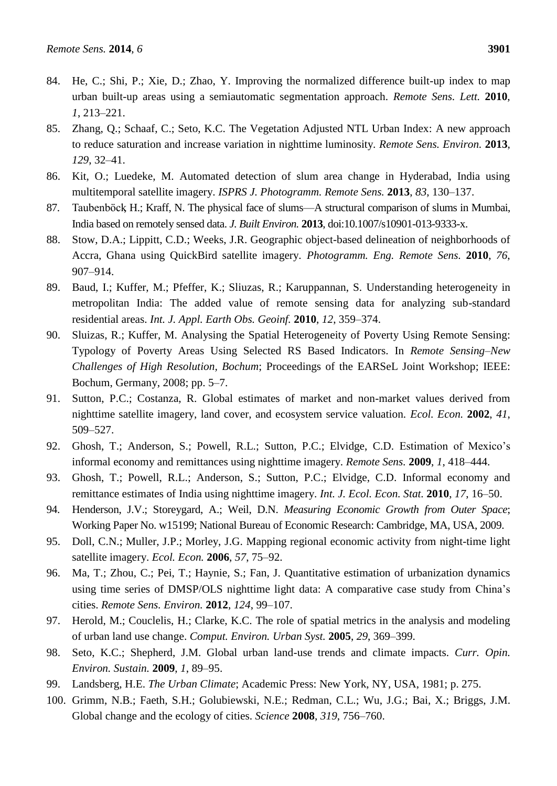- 84. He, C.; Shi, P.; Xie, D.; Zhao, Y. Improving the normalized difference built-up index to map urban built-up areas using a semiautomatic segmentation approach. *Remote Sens. Lett.* **2010**, *1*, 213–221.
- 85. Zhang, Q.; Schaaf, C.; Seto, K.C. The Vegetation Adjusted NTL Urban Index: A new approach to reduce saturation and increase variation in nighttime luminosity. *Remote Sens. Environ.* **2013**, *129*, 32–41.
- 86. Kit, O.; Luedeke, M. Automated detection of slum area change in Hyderabad, India using multitemporal satellite imagery. *ISPRS J. Photogramm. Remote Sens.* **2013**, *83*, 130–137.
- 87. Taubenböck, H.; Kraff, N. The physical face of slums—A structural comparison of slums in Mumbai, India based on remotely sensed data. *J. Built Environ.* **2013**, doi:10.1007/s10901-013-9333-x.
- 88. Stow, D.A.; Lippitt, C.D.; Weeks, J.R. Geographic object-based delineation of neighborhoods of Accra, Ghana using QuickBird satellite imagery. *Photogramm. Eng. Remote Sens.* **2010**, *76*, 907–914.
- 89. Baud, I.; Kuffer, M.; Pfeffer, K.; Sliuzas, R.; Karuppannan, S. Understanding heterogeneity in metropolitan India: The added value of remote sensing data for analyzing sub-standard residential areas. *Int. J. Appl. Earth Obs. Geoinf.* **2010**, *12*, 359–374.
- 90. Sluizas, R.; Kuffer, M. Analysing the Spatial Heterogeneity of Poverty Using Remote Sensing: Typology of Poverty Areas Using Selected RS Based Indicators. In *Remote Sensing–New Challenges of High Resolution, Bochum*; Proceedings of the EARSeL Joint Workshop; IEEE: Bochum, Germany, 2008; pp. 5–7.
- 91. Sutton, P.C.; Costanza, R. Global estimates of market and non-market values derived from nighttime satellite imagery, land cover, and ecosystem service valuation. *Ecol. Econ.* **2002**, *41*, 509–527.
- 92. Ghosh, T.; Anderson, S.; Powell, R.L.; Sutton, P.C.; Elvidge, C.D. Estimation of Mexico's informal economy and remittances using nighttime imagery. *Remote Sens.* **2009**, *1*, 418–444.
- 93. Ghosh, T.; Powell, R.L.; Anderson, S.; Sutton, P.C.; Elvidge, C.D. Informal economy and remittance estimates of India using nighttime imagery. *Int. J. Ecol. Econ. Stat.* **2010**, *17*, 16–50.
- 94. Henderson, J.V.; Storeygard, A.; Weil, D.N. *Measuring Economic Growth from Outer Space*; Working Paper No. w15199; National Bureau of Economic Research: Cambridge, MA, USA, 2009.
- 95. Doll, C.N.; Muller, J.P.; Morley, J.G. Mapping regional economic activity from night-time light satellite imagery. *Ecol. Econ.* **2006**, *57*, 75–92.
- 96. Ma, T.; Zhou, C.; Pei, T.; Haynie, S.; Fan, J. Quantitative estimation of urbanization dynamics using time series of DMSP/OLS nighttime light data: A comparative case study from China's cities. *Remote Sens. Environ.* **2012**, *124*, 99–107.
- 97. Herold, M.; Couclelis, H.; Clarke, K.C. The role of spatial metrics in the analysis and modeling of urban land use change. *Comput. Environ. Urban Syst.* **2005**, *29*, 369–399.
- 98. Seto, K.C.; Shepherd, J.M. Global urban land-use trends and climate impacts. *Curr. Opin. Environ. Sustain.* **2009**, *1*, 89–95.
- 99. Landsberg, H.E. *The Urban Climate*; Academic Press: New York, NY, USA, 1981; p. 275.
- 100. Grimm, N.B.; Faeth, S.H.; Golubiewski, N.E.; Redman, C.L.; Wu, J.G.; Bai, X.; Briggs, J.M. Global change and the ecology of cities. *Science* **2008**, *319*, 756–760.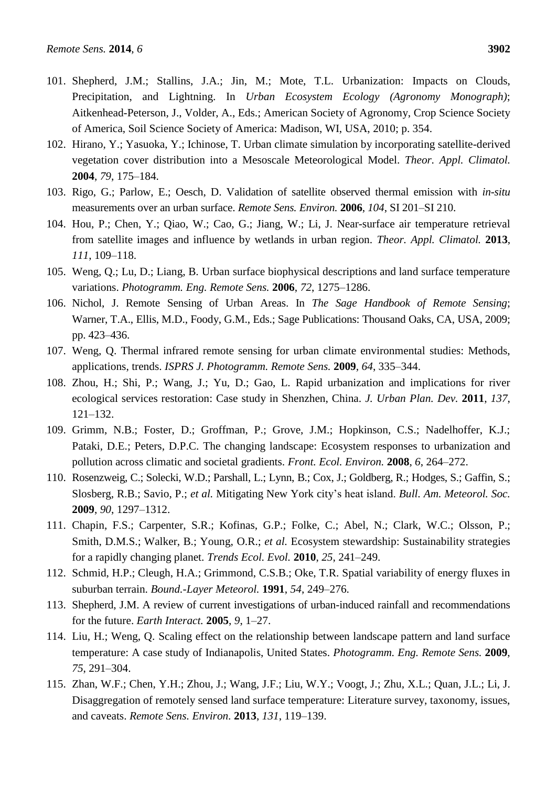- 101. Shepherd, J.M.; Stallins, J.A.; Jin, M.; Mote, T.L. Urbanization: Impacts on Clouds, Precipitation, and Lightning. In *Urban Ecosystem Ecology (Agronomy Monograph)*; Aitkenhead-Peterson, J., Volder, A., Eds.; American Society of Agronomy, Crop Science Society of America, Soil Science Society of America: Madison, WI, USA, 2010; p. 354.
- 102. Hirano, Y.; Yasuoka, Y.; Ichinose, T. Urban climate simulation by incorporating satellite-derived vegetation cover distribution into a Mesoscale Meteorological Model. *Theor. Appl. Climatol.* **2004**, *79*, 175–184.
- 103. Rigo, G.; Parlow, E.; Oesch, D. Validation of satellite observed thermal emission with *in-situ* measurements over an urban surface. *Remote Sens. Environ.* **2006**, *104*, SI 201–SI 210.
- 104. Hou, P.; Chen, Y.; Qiao, W.; Cao, G.; Jiang, W.; Li, J. Near-surface air temperature retrieval from satellite images and influence by wetlands in urban region. *Theor. Appl. Climatol.* **2013**, *111*, 109–118.
- 105. Weng, Q.; Lu, D.; Liang, B. Urban surface biophysical descriptions and land surface temperature variations. *Photogramm. Eng. Remote Sens.* **2006**, *72*, 1275–1286.
- 106. Nichol, J. Remote Sensing of Urban Areas. In *The Sage Handbook of Remote Sensing*; Warner, T.A., Ellis, M.D., Foody, G.M., Eds.; Sage Publications: Thousand Oaks, CA, USA, 2009; pp. 423–436.
- 107. Weng, Q. Thermal infrared remote sensing for urban climate environmental studies: Methods, applications, trends. *ISPRS J. Photogramm. Remote Sens.* **2009**, *64*, 335–344.
- 108. Zhou, H.; Shi, P.; Wang, J.; Yu, D.; Gao, L. Rapid urbanization and implications for river ecological services restoration: Case study in Shenzhen, China. *J. Urban Plan. Dev.* **2011**, *137*, 121–132.
- 109. Grimm, N.B.; Foster, D.; Groffman, P.; Grove, J.M.; Hopkinson, C.S.; Nadelhoffer, K.J.; Pataki, D.E.; Peters, D.P.C. The changing landscape: Ecosystem responses to urbanization and pollution across climatic and societal gradients. *Front. Ecol. Environ.* **2008**, *6*, 264–272.
- 110. Rosenzweig, C.; Solecki, W.D.; Parshall, L.; Lynn, B.; Cox, J.; Goldberg, R.; Hodges, S.; Gaffin, S.; Slosberg, R.B.; Savio, P.; *et al.* Mitigating New York city's heat island. *Bull. Am. Meteorol. Soc.* **2009**, *90*, 1297–1312.
- 111. Chapin, F.S.; Carpenter, S.R.; Kofinas, G.P.; Folke, C.; Abel, N.; Clark, W.C.; Olsson, P.; Smith, D.M.S.; Walker, B.; Young, O.R.; *et al.* Ecosystem stewardship: Sustainability strategies for a rapidly changing planet. *Trends Ecol. Evol.* **2010**, *25*, 241–249.
- 112. Schmid, H.P.; Cleugh, H.A.; Grimmond, C.S.B.; Oke, T.R. Spatial variability of energy fluxes in suburban terrain. *Bound.-Layer Meteorol.* **1991**, *54*, 249–276.
- 113. Shepherd, J.M. A review of current investigations of urban-induced rainfall and recommendations for the future. *Earth Interact.* **2005**, *9*, 1–27.
- 114. Liu, H.; Weng, Q. Scaling effect on the relationship between landscape pattern and land surface temperature: A case study of Indianapolis, United States. *Photogramm. Eng. Remote Sens.* **2009**, *75*, 291–304.
- 115. Zhan, W.F.; Chen, Y.H.; Zhou, J.; Wang, J.F.; Liu, W.Y.; Voogt, J.; Zhu, X.L.; Quan, J.L.; Li, J. Disaggregation of remotely sensed land surface temperature: Literature survey, taxonomy, issues, and caveats. *Remote Sens. Environ.* **2013**, *131*, 119–139.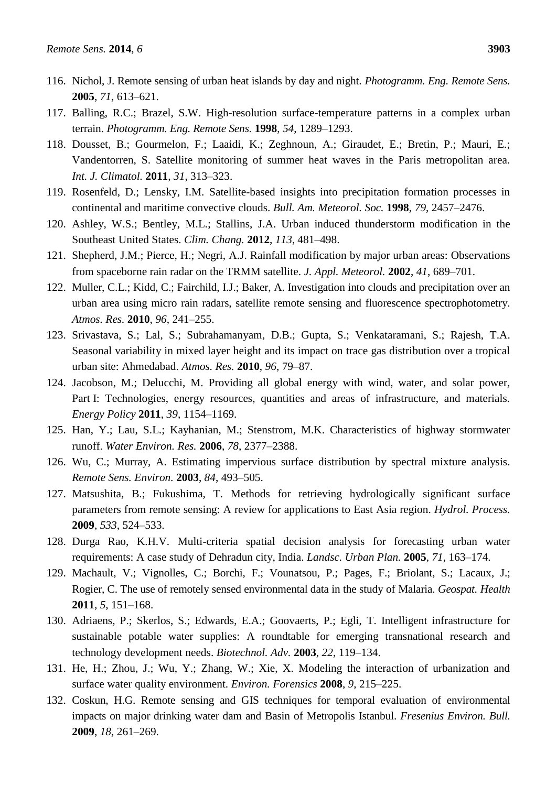- 116. Nichol, J. Remote sensing of urban heat islands by day and night. *Photogramm. Eng. Remote Sens.* **2005**, *71*, 613–621.
- 117. Balling, R.C.; Brazel, S.W. High-resolution surface-temperature patterns in a complex urban terrain. *Photogramm. Eng. Remote Sens.* **1998**, *54*, 1289–1293.
- 118. Dousset, B.; Gourmelon, F.; Laaidi, K.; Zeghnoun, A.; Giraudet, E.; Bretin, P.; Mauri, E.; Vandentorren, S. Satellite monitoring of summer heat waves in the Paris metropolitan area. *Int. J. Climatol.* **2011**, *31*, 313–323.
- 119. Rosenfeld, D.; Lensky, I.M. Satellite-based insights into precipitation formation processes in continental and maritime convective clouds. *Bull. Am. Meteorol. Soc.* **1998**, *79*, 2457–2476.
- 120. Ashley, W.S.; Bentley, M.L.; Stallins, J.A. Urban induced thunderstorm modification in the Southeast United States. *Clim. Chang.* **2012**, *113*, 481–498.
- 121. Shepherd, J.M.; Pierce, H.; Negri, A.J. Rainfall modification by major urban areas: Observations from spaceborne rain radar on the TRMM satellite. *J. Appl. Meteorol.* **2002**, *41*, 689–701.
- 122. Muller, C.L.; Kidd, C.; Fairchild, I.J.; Baker, A. Investigation into clouds and precipitation over an urban area using micro rain radars, satellite remote sensing and fluorescence spectrophotometry. *Atmos. Res.* **2010**, *96*, 241–255.
- 123. Srivastava, S.; Lal, S.; Subrahamanyam, D.B.; Gupta, S.; Venkataramani, S.; Rajesh, T.A. Seasonal variability in mixed layer height and its impact on trace gas distribution over a tropical urban site: Ahmedabad. *Atmos. Res.* **2010**, *96*, 79–87.
- 124. Jacobson, M.; Delucchi, M. Providing all global energy with wind, water, and solar power, Part I: Technologies, energy resources, quantities and areas of infrastructure, and materials. *Energy Policy* **2011**, *39*, 1154–1169.
- 125. Han, Y.; Lau, S.L.; Kayhanian, M.; Stenstrom, M.K. Characteristics of highway stormwater runoff. *Water Environ. Res.* **2006**, *78*, 2377–2388.
- 126. Wu, C.; Murray, A. Estimating impervious surface distribution by spectral mixture analysis. *Remote Sens. Environ.* **2003**, *84*, 493–505.
- 127. Matsushita, B.; Fukushima, T. Methods for retrieving hydrologically significant surface parameters from remote sensing: A review for applications to East Asia region. *Hydrol. Process.* **2009**, *533*, 524–533.
- 128. Durga Rao, K.H.V. Multi-criteria spatial decision analysis for forecasting urban water requirements: A case study of Dehradun city, India. *Landsc. Urban Plan.* **2005**, *71*, 163–174.
- 129. Machault, V.; Vignolles, C.; Borchi, F.; Vounatsou, P.; Pages, F.; Briolant, S.; Lacaux, J.; Rogier, C. The use of remotely sensed environmental data in the study of Malaria. *Geospat. Health* **2011**, *5*, 151–168.
- 130. Adriaens, P.; Skerlos, S.; Edwards, E.A.; Goovaerts, P.; Egli, T. Intelligent infrastructure for sustainable potable water supplies: A roundtable for emerging transnational research and technology development needs. *Biotechnol. Adv.* **2003**, *22*, 119–134.
- 131. He, H.; Zhou, J.; Wu, Y.; Zhang, W.; Xie, X. Modeling the interaction of urbanization and surface water quality environment. *Environ. Forensics* **2008**, *9*, 215–225.
- 132. Coskun, H.G. Remote sensing and GIS techniques for temporal evaluation of environmental impacts on major drinking water dam and Basin of Metropolis Istanbul. *Fresenius Environ. Bull.* **2009**, *18*, 261–269.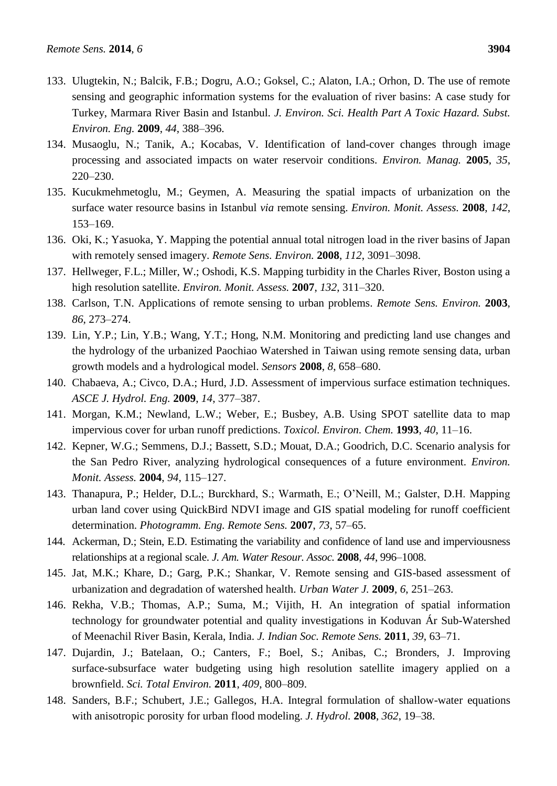- 133. Ulugtekin, N.; Balcik, F.B.; Dogru, A.O.; Goksel, C.; Alaton, I.A.; Orhon, D. The use of remote sensing and geographic information systems for the evaluation of river basins: A case study for Turkey, Marmara River Basin and Istanbul. *J. Environ. Sci. Health Part A Toxic Hazard. Subst. Environ. Eng.* **2009**, *44*, 388–396.
- 134. Musaoglu, N.; Tanik, A.; Kocabas, V. Identification of land-cover changes through image processing and associated impacts on water reservoir conditions. *Environ. Manag.* **2005**, *35*, 220–230.
- 135. Kucukmehmetoglu, M.; Geymen, A. Measuring the spatial impacts of urbanization on the surface water resource basins in Istanbul *via* remote sensing. *Environ. Monit. Assess.* **2008**, *142*, 153–169.
- 136. Oki, K.; Yasuoka, Y. Mapping the potential annual total nitrogen load in the river basins of Japan with remotely sensed imagery. *Remote Sens. Environ.* **2008**, *112*, 3091–3098.
- 137. Hellweger, F.L.; Miller, W.; Oshodi, K.S. Mapping turbidity in the Charles River, Boston using a high resolution satellite. *Environ. Monit. Assess.* **2007**, *132*, 311–320.
- 138. Carlson, T.N. Applications of remote sensing to urban problems. *Remote Sens. Environ.* **2003**, *86*, 273–274.
- 139. Lin, Y.P.; Lin, Y.B.; Wang, Y.T.; Hong, N.M. Monitoring and predicting land use changes and the hydrology of the urbanized Paochiao Watershed in Taiwan using remote sensing data, urban growth models and a hydrological model. *Sensors* **2008**, *8*, 658–680.
- 140. Chabaeva, A.; Civco, D.A.; Hurd, J.D. Assessment of impervious surface estimation techniques. *ASCE J. Hydrol. Eng.* **2009**, *14*, 377–387.
- 141. Morgan, K.M.; Newland, L.W.; Weber, E.; Busbey, A.B. Using SPOT satellite data to map impervious cover for urban runoff predictions. *Toxicol. Environ. Chem.* **1993**, *40*, 11–16.
- 142. Kepner, W.G.; Semmens, D.J.; Bassett, S.D.; Mouat, D.A.; Goodrich, D.C. Scenario analysis for the San Pedro River, analyzing hydrological consequences of a future environment. *Environ. Monit. Assess.* **2004**, *94*, 115–127.
- 143. Thanapura, P.; Helder, D.L.; Burckhard, S.; Warmath, E.; O'Neill, M.; Galster, D.H. Mapping urban land cover using QuickBird NDVI image and GIS spatial modeling for runoff coefficient determination. *Photogramm. Eng. Remote Sens.* **2007**, *73*, 57–65.
- 144. Ackerman, D.; Stein, E.D. Estimating the variability and confidence of land use and imperviousness relationships at a regional scale. *J. Am. Water Resour. Assoc.* **2008**, *44*, 996–1008.
- 145. Jat, M.K.; Khare, D.; Garg, P.K.; Shankar, V. Remote sensing and GIS-based assessment of urbanization and degradation of watershed health. *Urban Water J.* **2009**, *6*, 251–263.
- 146. Rekha, V.B.; Thomas, A.P.; Suma, M.; Vijith, H. An integration of spatial information technology for groundwater potential and quality investigations in Koduvan Ár Sub-Watershed of Meenachil River Basin, Kerala, India. *J. Indian Soc. Remote Sens.* **2011**, *39*, 63–71.
- 147. Dujardin, J.; Batelaan, O.; Canters, F.; Boel, S.; Anibas, C.; Bronders, J. Improving surface-subsurface water budgeting using high resolution satellite imagery applied on a brownfield. *Sci. Total Environ.* **2011**, *409*, 800–809.
- 148. Sanders, B.F.; Schubert, J.E.; Gallegos, H.A. Integral formulation of shallow-water equations with anisotropic porosity for urban flood modeling. *J. Hydrol.* **2008**, *362*, 19–38.